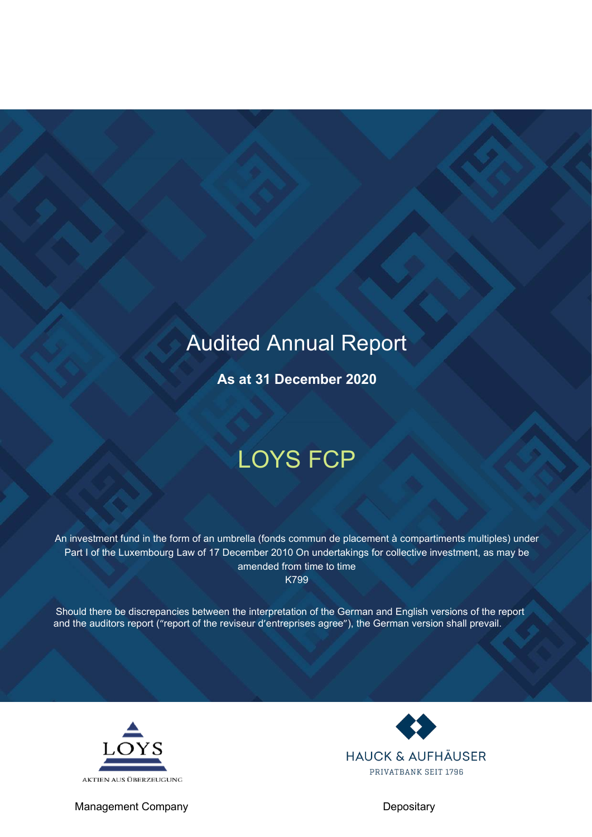## Audited Annual Report

**As at 31 December 2020**

# LOYS FCP

An investment fund in the form of an umbrella (fonds commun de placement à compartiments multiples) under Part I of the Luxembourg Law of 17 December 2010 On undertakings for collective investment, as may be amended from time to time K799

Should there be discrepancies between the interpretation of the German and English versions of the report and the auditors report ("report of the reviseur d'entreprises agree"), the German version shall prevail.



Management Company Depositary

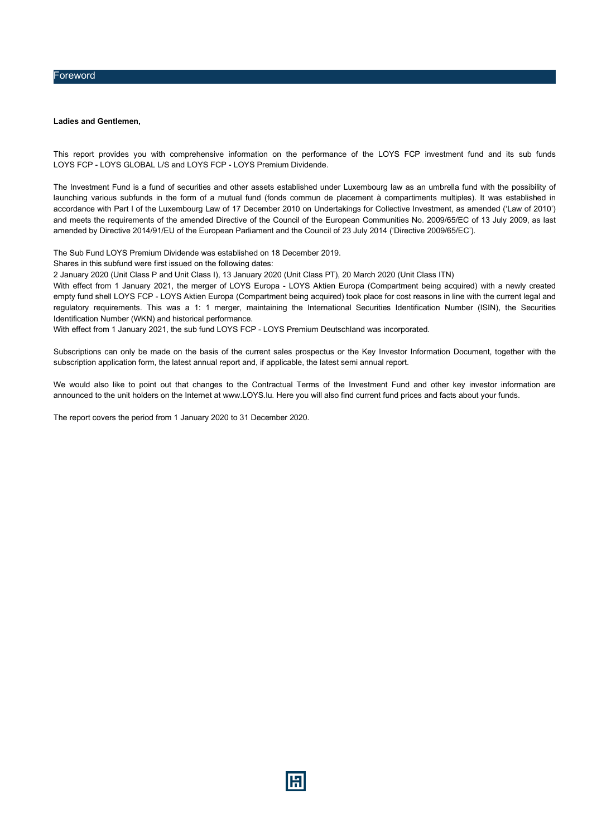#### Foreword

#### **Ladies and Gentlemen,**

This report provides you with comprehensive information on the performance of the LOYS FCP investment fund and its sub funds LOYS FCP - LOYS GLOBAL L/S and LOYS FCP - LOYS Premium Dividende.

The Investment Fund is a fund of securities and other assets established under Luxembourg law as an umbrella fund with the possibility of launching various subfunds in the form of a mutual fund (fonds commun de placement à compartiments multiples). It was established in accordance with Part I of the Luxembourg Law of 17 December 2010 on Undertakings for Collective Investment, as amended ('Law of 2010') and meets the requirements of the amended Directive of the Council of the European Communities No. 2009/65/EC of 13 July 2009, as last amended by Directive 2014/91/EU of the European Parliament and the Council of 23 July 2014 ('Directive 2009/65/EC').

The Sub Fund LOYS Premium Dividende was established on 18 December 2019.

Shares in this subfund were first issued on the following dates:

2 January 2020 (Unit Class P and Unit Class I), 13 January 2020 (Unit Class PT), 20 March 2020 (Unit Class ITN)

With effect from 1 January 2021, the merger of LOYS Europa - LOYS Aktien Europa (Compartment being acquired) with a newly created empty fund shell LOYS FCP - LOYS Aktien Europa (Compartment being acquired) took place for cost reasons in line with the current legal and regulatory requirements. This was a 1: 1 merger, maintaining the International Securities Identification Number (ISIN), the Securities Identification Number (WKN) and historical performance.

With effect from 1 January 2021, the sub fund LOYS FCP - LOYS Premium Deutschland was incorporated.

Subscriptions can only be made on the basis of the current sales prospectus or the Key Investor Information Document, together with the subscription application form, the latest annual report and, if applicable, the latest semi annual report.

We would also like to point out that changes to the Contractual Terms of the Investment Fund and other key investor information are announced to the unit holders on the Internet at www.LOYS.lu. Here you will also find current fund prices and facts about your funds.

The report covers the period from 1 January 2020 to 31 December 2020.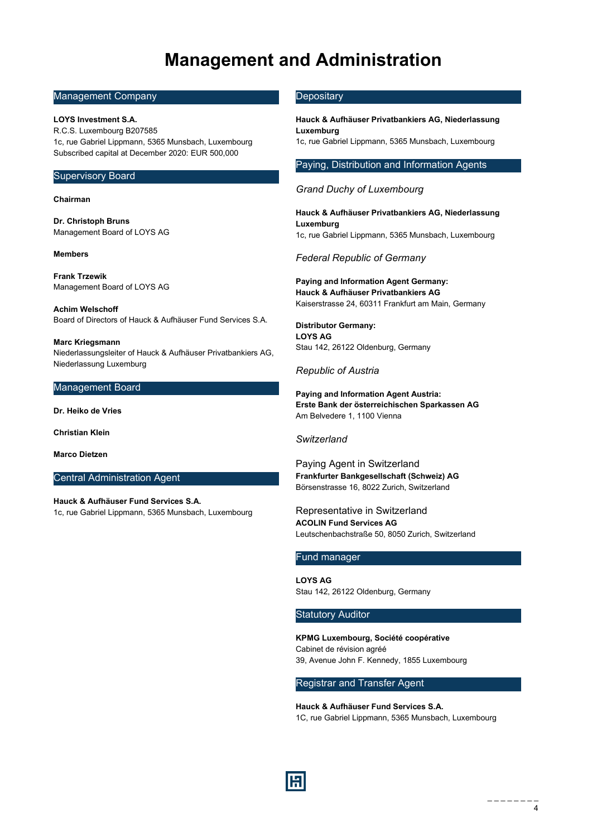## **Management and Administration**

#### <span id="page-3-0"></span>Management Company

#### **LOYS Investment S.A.**

R.C.S. Luxembourg B207585 1c, rue Gabriel Lippmann, 5365 Munsbach, Luxembourg Subscribed capital at December 2020: EUR 500,000

#### Supervisory Board

#### **Chairman**

**Dr. Christoph Bruns** Management Board of LOYS AG

#### **Members**

**Frank Trzewik** Management Board of LOYS AG

**Achim Welschoff** Board of Directors of Hauck & Aufhäuser Fund Services S.A.

**Marc Kriegsmann** Niederlassungsleiter of Hauck & Aufhäuser Privatbankiers AG, Niederlassung Luxemburg

#### Management Board

**Dr. Heiko de Vries**

**Christian Klein**

**Marco Dietzen**

#### Central Administration Agent

**Hauck & Aufhäuser Fund Services S.A.** 1c, rue Gabriel Lippmann, 5365 Munsbach, Luxembourg

#### **Depositary**

**Hauck & Aufhäuser Privatbankiers AG, Niederlassung Luxemburg** 1c, rue Gabriel Lippmann, 5365 Munsbach, Luxembourg

#### Paying, Distribution and Information Agents

#### *Grand Duchy of Luxembourg*

**Hauck & Aufhäuser Privatbankiers AG, Niederlassung Luxemburg** 1c, rue Gabriel Lippmann, 5365 Munsbach, Luxembourg

#### *Federal Republic of Germany*

**Paying and Information Agent Germany: Hauck & Aufhäuser Privatbankiers AG** Kaiserstrasse 24, 60311 Frankfurt am Main, Germany

**Distributor Germany: LOYS AG** Stau 142, 26122 Oldenburg, Germany

#### *Republic of Austria*

**Paying and Information Agent Austria: Erste Bank der österreichischen Sparkassen AG** Am Belvedere 1, 1100 Vienna

#### *Switzerland*

Paying Agent in Switzerland **Frankfurter Bankgesellschaft (Schweiz) AG** Börsenstrasse 16, 8022 Zurich, Switzerland

Representative in Switzerland **ACOLIN Fund Services AG** Leutschenbachstraße 50, 8050 Zurich, Switzerland

### Fund manager

**LOYS AG** Stau 142, 26122 Oldenburg, Germany

#### **Statutory Auditor**

**KPMG Luxembourg, Société coopérative** Cabinet de révision agréé 39, Avenue John F. Kennedy, 1855 Luxembourg

#### Registrar and Transfer Agent

**Hauck & Aufhäuser Fund Services S.A.** 1C, rue Gabriel Lippmann, 5365 Munsbach, Luxembourg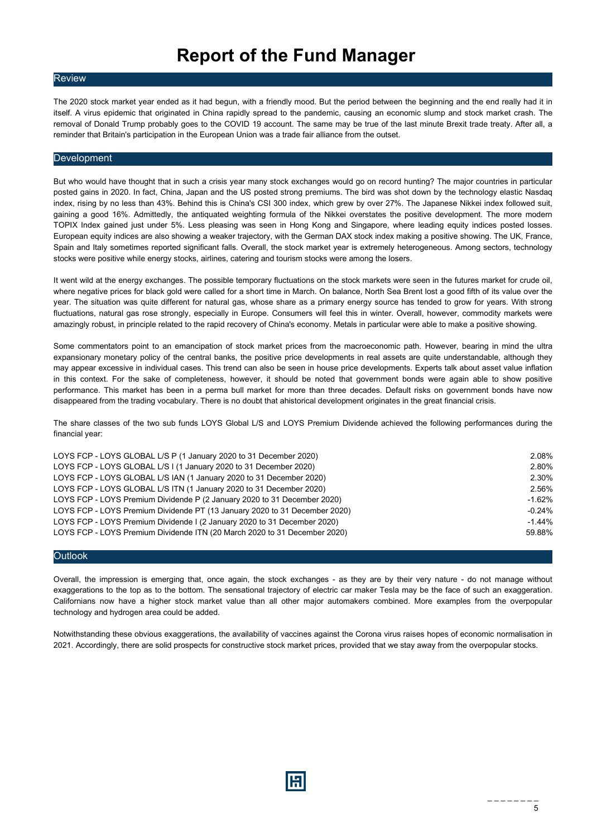## **Report of the Fund Manager**

#### **Review**

The 2020 stock market year ended as it had begun, with a friendly mood. But the period between the beginning and the end really had it in itself. A virus epidemic that originated in China rapidly spread to the pandemic, causing an economic slump and stock market crash. The removal of Donald Trump probably goes to the COVID 19 account. The same may be true of the last minute Brexit trade treaty. After all, a reminder that Britain's participation in the European Union was a trade fair alliance from the outset.

#### **Development**

But who would have thought that in such a crisis year many stock exchanges would go on record hunting? The major countries in particular posted gains in 2020. In fact, China, Japan and the US posted strong premiums. The bird was shot down by the technology elastic Nasdaq index, rising by no less than 43%. Behind this is China's CSI 300 index, which grew by over 27%. The Japanese Nikkei index followed suit, gaining a good 16%. Admittedly, the antiquated weighting formula of the Nikkei overstates the positive development. The more modern TOPIX Index gained just under 5%. Less pleasing was seen in Hong Kong and Singapore, where leading equity indices posted losses. European equity indices are also showing a weaker trajectory, with the German DAX stock index making a positive showing. The UK, France, Spain and Italy sometimes reported significant falls. Overall, the stock market year is extremely heterogeneous. Among sectors, technology stocks were positive while energy stocks, airlines, catering and tourism stocks were among the losers.

It went wild at the energy exchanges. The possible temporary fluctuations on the stock markets were seen in the futures market for crude oil, where negative prices for black gold were called for a short time in March. On balance, North Sea Brent lost a good fifth of its value over the year. The situation was quite different for natural gas, whose share as a primary energy source has tended to grow for years. With strong fluctuations, natural gas rose strongly, especially in Europe. Consumers will feel this in winter. Overall, however, commodity markets were amazingly robust, in principle related to the rapid recovery of China's economy. Metals in particular were able to make a positive showing.

Some commentators point to an emancipation of stock market prices from the macroeconomic path. However, bearing in mind the ultra expansionary monetary policy of the central banks, the positive price developments in real assets are quite understandable, although they may appear excessive in individual cases. This trend can also be seen in house price developments. Experts talk about asset value inflation in this context. For the sake of completeness, however, it should be noted that government bonds were again able to show positive performance. This market has been in a perma bull market for more than three decades. Default risks on government bonds have now disappeared from the trading vocabulary. There is no doubt that ahistorical development originates in the great financial crisis.

The share classes of the two sub funds LOYS Global L/S and LOYS Premium Dividende achieved the following performances during the financial year:

| LOYS FCP - LOYS GLOBAL L/S P (1 January 2020 to 31 December 2020)          | 2.08%    |
|----------------------------------------------------------------------------|----------|
| LOYS FCP - LOYS GLOBAL L/S I (1 January 2020 to 31 December 2020)          | 2.80%    |
| LOYS FCP - LOYS GLOBAL L/S IAN (1 January 2020 to 31 December 2020)        | 2.30%    |
| LOYS FCP - LOYS GLOBAL L/S ITN (1 January 2020 to 31 December 2020)        | 2.56%    |
| LOYS FCP - LOYS Premium Dividende P (2 January 2020 to 31 December 2020)   | $-1.62%$ |
| LOYS FCP - LOYS Premium Dividende PT (13 January 2020 to 31 December 2020) | $-0.24%$ |
| LOYS FCP - LOYS Premium Dividende I (2 January 2020 to 31 December 2020)   | $-1.44%$ |
| LOYS FCP - LOYS Premium Dividende ITN (20 March 2020 to 31 December 2020)  | 59.88%   |
|                                                                            |          |

#### **Outlook**

Overall, the impression is emerging that, once again, the stock exchanges - as they are by their very nature - do not manage without exaggerations to the top as to the bottom. The sensational trajectory of electric car maker Tesla may be the face of such an exaggeration. Californians now have a higher stock market value than all other major automakers combined. More examples from the overpopular technology and hydrogen area could be added.

Notwithstanding these obvious exaggerations, the availability of vaccines against the Corona virus raises hopes of economic normalisation in 2021. Accordingly, there are solid prospects for constructive stock market prices, provided that we stay away from the overpopular stocks.

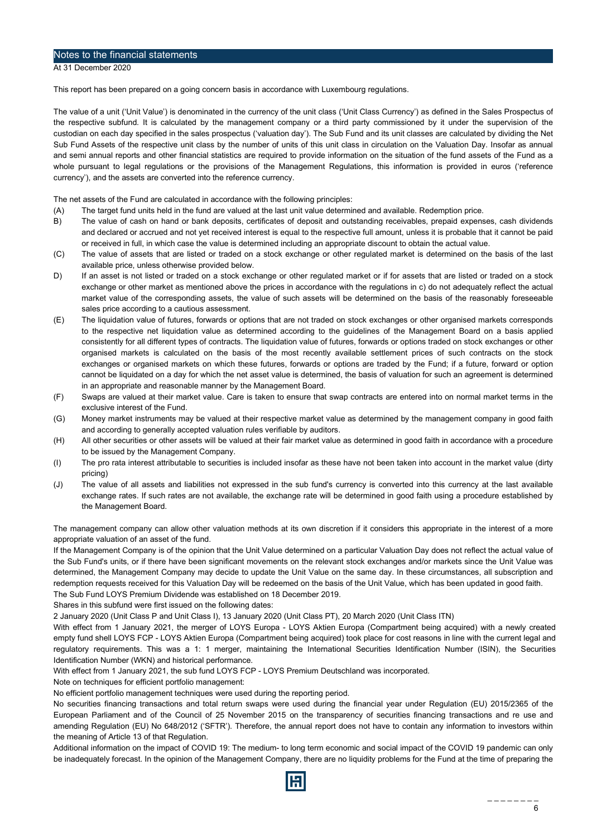#### <span id="page-5-0"></span>Notes to the financial statements

At 31 December 2020

This report has been prepared on a going concern basis in accordance with Luxembourg regulations.

The value of a unit ('Unit Value') is denominated in the currency of the unit class ('Unit Class Currency') as defined in the Sales Prospectus of the respective subfund. It is calculated by the management company or a third party commissioned by it under the supervision of the custodian on each day specified in the sales prospectus ('valuation day'). The Sub Fund and its unit classes are calculated by dividing the Net Sub Fund Assets of the respective unit class by the number of units of this unit class in circulation on the Valuation Day. Insofar as annual and semi annual reports and other financial statistics are required to provide information on the situation of the fund assets of the Fund as a whole pursuant to legal regulations or the provisions of the Management Regulations, this information is provided in euros ('reference currency'), and the assets are converted into the reference currency.

The net assets of the Fund are calculated in accordance with the following principles:

- (A) The target fund units held in the fund are valued at the last unit value determined and available. Redemption price.
- B) The value of cash on hand or bank deposits, certificates of deposit and outstanding receivables, prepaid expenses, cash dividends and declared or accrued and not yet received interest is equal to the respective full amount, unless it is probable that it cannot be paid or received in full, in which case the value is determined including an appropriate discount to obtain the actual value.
- (C) The value of assets that are listed or traded on a stock exchange or other regulated market is determined on the basis of the last available price, unless otherwise provided below.
- D) If an asset is not listed or traded on a stock exchange or other regulated market or if for assets that are listed or traded on a stock exchange or other market as mentioned above the prices in accordance with the regulations in c) do not adequately reflect the actual market value of the corresponding assets, the value of such assets will be determined on the basis of the reasonably foreseeable sales price according to a cautious assessment.
- (E) The liquidation value of futures, forwards or options that are not traded on stock exchanges or other organised markets corresponds to the respective net liquidation value as determined according to the guidelines of the Management Board on a basis applied consistently for all different types of contracts. The liquidation value of futures, forwards or options traded on stock exchanges or other organised markets is calculated on the basis of the most recently available settlement prices of such contracts on the stock exchanges or organised markets on which these futures, forwards or options are traded by the Fund; if a future, forward or option cannot be liquidated on a day for which the net asset value is determined, the basis of valuation for such an agreement is determined in an appropriate and reasonable manner by the Management Board.
- (F) Swaps are valued at their market value. Care is taken to ensure that swap contracts are entered into on normal market terms in the exclusive interest of the Fund.
- (G) Money market instruments may be valued at their respective market value as determined by the management company in good faith and according to generally accepted valuation rules verifiable by auditors.
- (H) All other securities or other assets will be valued at their fair market value as determined in good faith in accordance with a procedure to be issued by the Management Company.
- (I) The pro rata interest attributable to securities is included insofar as these have not been taken into account in the market value (dirty pricing)
- (J) The value of all assets and liabilities not expressed in the sub fund's currency is converted into this currency at the last available exchange rates. If such rates are not available, the exchange rate will be determined in good faith using a procedure established by the Management Board.

The management company can allow other valuation methods at its own discretion if it considers this appropriate in the interest of a more appropriate valuation of an asset of the fund.

If the Management Company is of the opinion that the Unit Value determined on a particular Valuation Day does not reflect the actual value of the Sub Fund's units, or if there have been significant movements on the relevant stock exchanges and/or markets since the Unit Value was determined, the Management Company may decide to update the Unit Value on the same day. In these circumstances, all subscription and redemption requests received for this Valuation Day will be redeemed on the basis of the Unit Value, which has been updated in good faith. The Sub Fund LOYS Premium Dividende was established on 18 December 2019.

Shares in this subfund were first issued on the following dates:

2 January 2020 (Unit Class P and Unit Class I), 13 January 2020 (Unit Class PT), 20 March 2020 (Unit Class ITN)

With effect from 1 January 2021, the merger of LOYS Europa - LOYS Aktien Europa (Compartment being acquired) with a newly created empty fund shell LOYS FCP - LOYS Aktien Europa (Compartment being acquired) took place for cost reasons in line with the current legal and regulatory requirements. This was a 1: 1 merger, maintaining the International Securities Identification Number (ISIN), the Securities Identification Number (WKN) and historical performance.

With effect from 1 January 2021, the sub fund LOYS FCP - LOYS Premium Deutschland was incorporated.

Note on techniques for efficient portfolio management:

No efficient portfolio management techniques were used during the reporting period.

No securities financing transactions and total return swaps were used during the financial year under Regulation (EU) 2015/2365 of the European Parliament and of the Council of 25 November 2015 on the transparency of securities financing transactions and re use and amending Regulation (EU) No 648/2012 ('SFTR'). Therefore, the annual report does not have to contain any information to investors within the meaning of Article 13 of that Regulation.

Additional information on the impact of COVID 19: The medium- to long term economic and social impact of the COVID 19 pandemic can only be inadequately forecast. In the opinion of the Management Company, there are no liquidity problems for the Fund at the time of preparing the

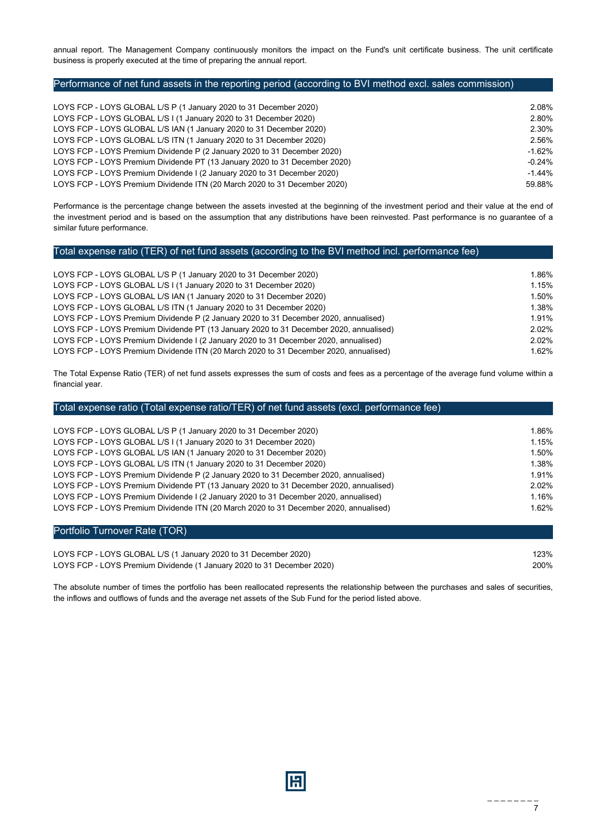annual report. The Management Company continuously monitors the impact on the Fund's unit certificate business. The unit certificate business is properly executed at the time of preparing the annual report.

#### Performance of net fund assets in the reporting period (according to BVI method excl. sales commission)

| LOYS FCP - LOYS GLOBAL L/S P (1 January 2020 to 31 December 2020)          | 2.08%    |
|----------------------------------------------------------------------------|----------|
| LOYS FCP - LOYS GLOBAL L/S I (1 January 2020 to 31 December 2020)          | 2.80%    |
| LOYS FCP - LOYS GLOBAL L/S IAN (1 January 2020 to 31 December 2020)        | 2.30%    |
| LOYS FCP - LOYS GLOBAL L/S ITN (1 January 2020 to 31 December 2020)        | 2.56%    |
| LOYS FCP - LOYS Premium Dividende P (2 January 2020 to 31 December 2020)   | $-1.62%$ |
| LOYS FCP - LOYS Premium Dividende PT (13 January 2020 to 31 December 2020) | $-0.24%$ |
| LOYS FCP - LOYS Premium Dividende I (2 January 2020 to 31 December 2020)   | $-1.44%$ |
| LOYS FCP - LOYS Premium Dividende ITN (20 March 2020 to 31 December 2020)  | 59.88%   |
|                                                                            |          |

Performance is the percentage change between the assets invested at the beginning of the investment period and their value at the end of the investment period and is based on the assumption that any distributions have been reinvested. Past performance is no guarantee of a similar future performance.

#### Total expense ratio (TER) of net fund assets (according to the BVI method incl. performance fee)

| LOYS FCP - LOYS GLOBAL L/S P (1 January 2020 to 31 December 2020)                      | 1.86% |
|----------------------------------------------------------------------------------------|-------|
| LOYS FCP - LOYS GLOBAL L/S I (1 January 2020 to 31 December 2020)                      | 1.15% |
| LOYS FCP - LOYS GLOBAL L/S IAN (1 January 2020 to 31 December 2020)                    | 1.50% |
| LOYS FCP - LOYS GLOBAL L/S ITN (1 January 2020 to 31 December 2020)                    | 1.38% |
| LOYS FCP - LOYS Premium Dividende P (2 January 2020 to 31 December 2020, annualised)   | 1.91% |
| LOYS FCP - LOYS Premium Dividende PT (13 January 2020 to 31 December 2020, annualised) | 2.02% |
| LOYS FCP - LOYS Premium Dividende I (2 January 2020 to 31 December 2020, annualised)   | 2.02% |
| LOYS FCP - LOYS Premium Dividende ITN (20 March 2020 to 31 December 2020, annualised)  | 1.62% |
|                                                                                        |       |

The Total Expense Ratio (TER) of net fund assets expresses the sum of costs and fees as a percentage of the average fund volume within a financial year.

| Total expense ratio (Total expense ratio/TER) of net fund assets (excl. performance fee) |       |
|------------------------------------------------------------------------------------------|-------|
|                                                                                          |       |
| LOYS FCP - LOYS GLOBAL L/S P (1 January 2020 to 31 December 2020)                        | 1.86% |
| LOYS FCP - LOYS GLOBAL L/S I (1 January 2020 to 31 December 2020)                        | 1.15% |
| LOYS FCP - LOYS GLOBAL L/S IAN (1 January 2020 to 31 December 2020)                      | 1.50% |
| LOYS FCP - LOYS GLOBAL L/S ITN (1 January 2020 to 31 December 2020)                      | 1.38% |
| LOYS FCP - LOYS Premium Dividende P (2 January 2020 to 31 December 2020, annualised)     | 1.91% |
| LOYS FCP - LOYS Premium Dividende PT (13 January 2020 to 31 December 2020, annualised)   | 2.02% |
| LOYS FCP - LOYS Premium Dividende I (2 January 2020 to 31 December 2020, annualised)     | 1.16% |
| LOYS FCP - LOYS Premium Dividende ITN (20 March 2020 to 31 December 2020, annualised)    | 1.62% |
|                                                                                          |       |

#### Portfolio Turnover Rate (TOR)

LOYS FCP - LOYS GLOBAL L/S (1 January 2020 to 31 December 2020) 123% 123% LOYS FCP - LOYS Premium Dividende (1 January 2020 to 31 December 2020) 200%

The absolute number of times the portfolio has been reallocated represents the relationship between the purchases and sales of securities, the inflows and outflows of funds and the average net assets of the Sub Fund for the period listed above.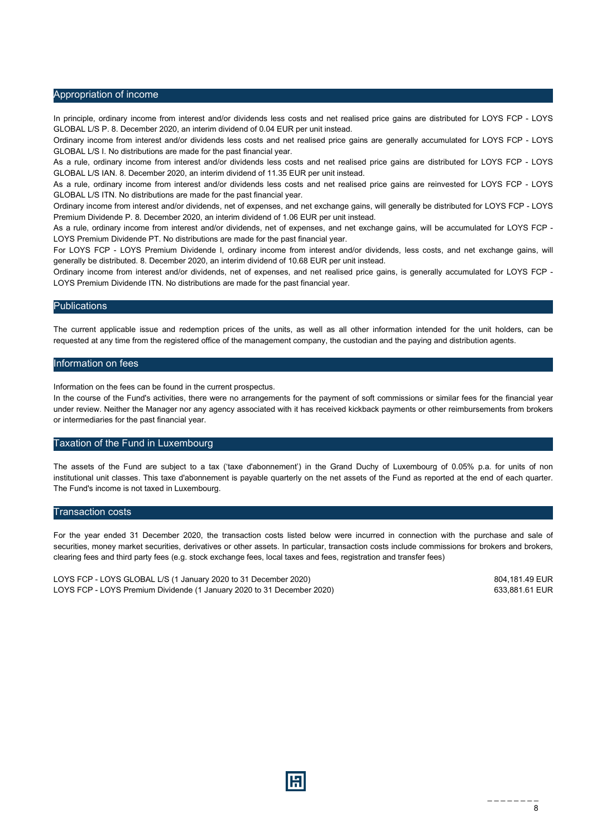#### Appropriation of income

In principle, ordinary income from interest and/or dividends less costs and net realised price gains are distributed for LOYS FCP - LOYS GLOBAL L/S P. 8. December 2020, an interim dividend of 0.04 EUR per unit instead.

Ordinary income from interest and/or dividends less costs and net realised price gains are generally accumulated for LOYS FCP - LOYS GLOBAL L/S I. No distributions are made for the past financial year.

As a rule, ordinary income from interest and/or dividends less costs and net realised price gains are distributed for LOYS FCP - LOYS GLOBAL L/S IAN. 8. December 2020, an interim dividend of 11.35 EUR per unit instead.

As a rule, ordinary income from interest and/or dividends less costs and net realised price gains are reinvested for LOYS FCP - LOYS GLOBAL L/S ITN. No distributions are made for the past financial year.

Ordinary income from interest and/or dividends, net of expenses, and net exchange gains, will generally be distributed for LOYS FCP - LOYS Premium Dividende P. 8. December 2020, an interim dividend of 1.06 EUR per unit instead.

As a rule, ordinary income from interest and/or dividends, net of expenses, and net exchange gains, will be accumulated for LOYS FCP - LOYS Premium Dividende PT. No distributions are made for the past financial year.

For LOYS FCP - LOYS Premium Dividende I, ordinary income from interest and/or dividends, less costs, and net exchange gains, will generally be distributed. 8. December 2020, an interim dividend of 10.68 EUR per unit instead.

Ordinary income from interest and/or dividends, net of expenses, and net realised price gains, is generally accumulated for LOYS FCP - LOYS Premium Dividende ITN. No distributions are made for the past financial year.

#### **Publications**

The current applicable issue and redemption prices of the units, as well as all other information intended for the unit holders, can be requested at any time from the registered office of the management company, the custodian and the paying and distribution agents.

#### Information on fees

Information on the fees can be found in the current prospectus.

In the course of the Fund's activities, there were no arrangements for the payment of soft commissions or similar fees for the financial year under review. Neither the Manager nor any agency associated with it has received kickback payments or other reimbursements from brokers or intermediaries for the past financial year.

#### Taxation of the Fund in Luxembourg

The assets of the Fund are subject to a tax ('taxe d'abonnement') in the Grand Duchy of Luxembourg of 0.05% p.a. for units of non institutional unit classes. This taxe d'abonnement is payable quarterly on the net assets of the Fund as reported at the end of each quarter. The Fund's income is not taxed in Luxembourg.

#### Transaction costs

For the year ended 31 December 2020, the transaction costs listed below were incurred in connection with the purchase and sale of securities, money market securities, derivatives or other assets. In particular, transaction costs include commissions for brokers and brokers, clearing fees and third party fees (e.g. stock exchange fees, local taxes and fees, registration and transfer fees)

LOYS FCP - LOYS GLOBAL L/S (1 January 2020 to 31 December 2020) 804,181.49 EUR LOYS FCP - LOYS Premium Dividende (1 January 2020 to 31 December 2020) 633,881.61 EUR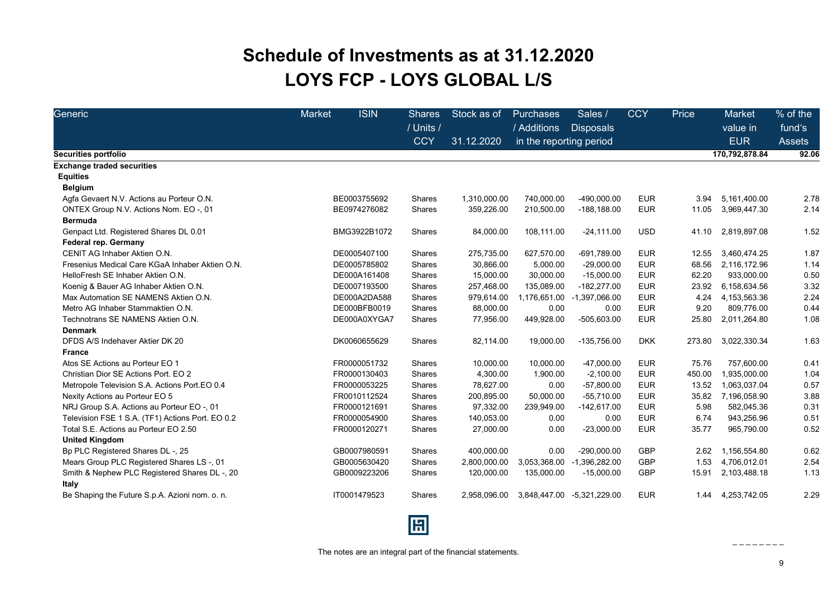## **Schedule of Investments as at 31.12.2020 LOYS FCP - LOYS GLOBAL L/S**

<span id="page-8-0"></span>

| Generic                                                | <b>Market</b> | <b>ISIN</b>  | <b>Shares</b><br>/ Units / | Stock as of  | Purchases<br>/ Additions | Sales /<br><b>Disposals</b> | <b>CCY</b> | Price  | <b>Market</b><br>value in | % of the<br>fund's |
|--------------------------------------------------------|---------------|--------------|----------------------------|--------------|--------------------------|-----------------------------|------------|--------|---------------------------|--------------------|
|                                                        |               |              |                            | 31.12.2020   | in the reporting period  |                             |            |        | <b>EUR</b>                | <b>Assets</b>      |
| <b>Securities portfolio</b>                            |               |              |                            |              |                          |                             |            |        | 170,792,878.84            | 92.06              |
| <b>Exchange traded securities</b>                      |               |              |                            |              |                          |                             |            |        |                           |                    |
| <b>Equities</b>                                        |               |              |                            |              |                          |                             |            |        |                           |                    |
| <b>Belgium</b>                                         |               |              |                            |              |                          |                             |            |        |                           |                    |
| Agfa Gevaert N.V. Actions au Porteur O.N.              |               | BE0003755692 | <b>Shares</b>              | 1,310,000.00 | 740,000.00               | -490,000.00                 | <b>EUR</b> | 3.94   | 5,161,400.00              | 2.78               |
| ONTEX Group N.V. Actions Nom. EO -, 01                 |               | BE0974276082 | Shares                     | 359,226.00   | 210,500.00               | $-188, 188.00$              | <b>EUR</b> | 11.05  | 3,969,447.30              | 2.14               |
| <b>Bermuda</b>                                         |               |              |                            |              |                          |                             |            |        |                           |                    |
| Genpact Ltd. Registered Shares DL 0.01                 |               | BMG3922B1072 | Shares                     | 84,000.00    | 108,111.00               | $-24,111.00$                | <b>USD</b> | 41.10  | 2,819,897.08              | 1.52               |
| <b>Federal rep. Germany</b>                            |               |              |                            |              |                          |                             |            |        |                           |                    |
| CENIT AG Inhaber Aktien O.N.                           |               | DE0005407100 | Shares                     | 275,735.00   | 627,570.00               | -691,789.00                 | <b>EUR</b> | 12.55  | 3.460.474.25              | 1.87               |
| Fresenius Medical Care KGaA Inhaber Aktien O.N.        |               | DE0005785802 | Shares                     | 30,866.00    | 5,000.00                 | $-29,000.00$                | <b>EUR</b> | 68.56  | 2,116,172.96              | 1.14               |
| HelloFresh SE Inhaber Aktien O.N.                      |               | DE000A161408 | Shares                     | 15,000.00    | 30,000.00                | $-15,000.00$                | <b>EUR</b> | 62.20  | 933,000.00                | 0.50               |
| Koenig & Bauer AG Inhaber Aktien O.N.                  |               | DE0007193500 | Shares                     | 257,468.00   | 135,089.00               | $-182,277.00$               | <b>EUR</b> | 23.92  | 6,158,634.56              | 3.32               |
| Max Automation SE NAMENS Aktien O.N.                   |               | DE000A2DA588 | Shares                     | 979,614.00   | 1,176,651.00             | -1,397,066.00               | <b>EUR</b> | 4.24   | 4,153,563.36              | 2.24               |
| Metro AG Inhaber Stammaktien O.N.                      |               | DE000BFB0019 | Shares                     | 88,000.00    | 0.00                     | 0.00                        | <b>EUR</b> | 9.20   | 809,776.00                | 0.44               |
| Technotrans SE NAMENS Aktien O.N.                      |               | DE000A0XYGA7 | Shares                     | 77,956.00    | 449,928.00               | -505,603.00                 | <b>EUR</b> | 25.80  | 2,011,264.80              | 1.08               |
| <b>Denmark</b>                                         |               |              |                            |              |                          |                             |            |        |                           |                    |
| DFDS A/S Indehaver Aktier DK 20                        |               | DK0060655629 | Shares                     | 82,114.00    | 19,000.00                | -135,756.00                 | <b>DKK</b> | 273.80 | 3,022,330.34              | 1.63               |
| <b>France</b>                                          |               |              |                            |              |                          |                             |            |        |                           |                    |
| Atos SE Actions au Porteur EO 1                        |               | FR0000051732 | Shares                     | 10,000.00    | 10,000.00                | $-47,000.00$                | <b>EUR</b> | 75.76  | 757,600.00                | 0.41               |
| Christian Dior SE Actions Port. EO 2                   |               | FR0000130403 | Shares                     | 4,300.00     | 1,900.00                 | $-2,100.00$                 | <b>EUR</b> | 450.00 | 1,935,000.00              | 1.04               |
| Metropole Television S.A. Actions Port.EO 0.4          |               | FR0000053225 | Shares                     | 78,627.00    | 0.00                     | $-57,800.00$                | <b>EUR</b> | 13.52  | 1,063,037.04              | 0.57               |
| Nexity Actions au Porteur EO 5                         |               | FR0010112524 | Shares                     | 200,895.00   | 50,000.00                | $-55,710.00$                | <b>EUR</b> | 35.82  | 7,196,058.90              | 3.88               |
| NRJ Group S.A. Actions au Porteur EO -, 01             |               | FR0000121691 | Shares                     | 97,332.00    | 239,949.00               | $-142,617.00$               | <b>EUR</b> | 5.98   | 582,045.36                | 0.31               |
| Television FSE 1 S.A. (TF1) Actions Port. EO 0.2       |               | FR0000054900 | <b>Shares</b>              | 140,053.00   | 0.00                     | 0.00                        | <b>EUR</b> | 6.74   | 943,256.96                | 0.51               |
| Total S.E. Actions au Porteur EO 2.50                  |               | FR0000120271 | Shares                     | 27,000.00    | 0.00                     | $-23,000.00$                | <b>EUR</b> | 35.77  | 965,790.00                | 0.52               |
| <b>United Kingdom</b>                                  |               |              |                            |              |                          |                             |            |        |                           |                    |
| Bp PLC Registered Shares DL-, 25                       |               | GB0007980591 | Shares                     | 400,000.00   | 0.00                     | $-290,000.00$               | <b>GBP</b> | 2.62   | 1,156,554.80              | 0.62               |
| Mears Group PLC Registered Shares LS-, 01              |               | GB0005630420 | Shares                     | 2,800,000.00 | 3,053,368.00             | $-1,396,282.00$             | <b>GBP</b> | 1.53   | 4,706,012.01              | 2.54               |
| Smith & Nephew PLC Registered Shares DL -, 20<br>Italy |               | GB0009223206 | Shares                     | 120,000.00   | 135,000.00               | $-15,000.00$                | <b>GBP</b> | 15.91  | 2,103,488.18              | 1.13               |
| Be Shaping the Future S.p.A. Azioni nom. o. n.         |               | IT0001479523 | <b>Shares</b>              | 2.958.096.00 | 3,848,447.00             | -5,321,229.00               | <b>EUR</b> | 1.44   | 4,253,742.05              | 2.29               |

The notes are an integral part of the financial statements.

圓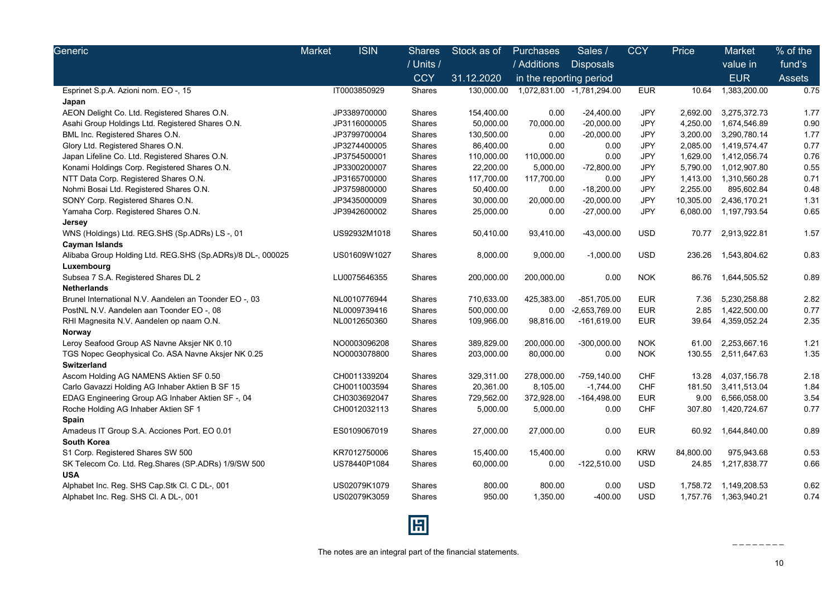| Generic                                                    | <b>ISIN</b><br>Market | <b>Shares</b> | Stock as of | Purchases               | Sales /                    | <b>CCY</b> | Price     | Market                 | % of the      |
|------------------------------------------------------------|-----------------------|---------------|-------------|-------------------------|----------------------------|------------|-----------|------------------------|---------------|
|                                                            |                       | / Units /     |             | / Additions             | <b>Disposals</b>           |            |           | value in               | fund's        |
|                                                            |                       | <b>CCY</b>    | 31.12.2020  | in the reporting period |                            |            |           | <b>EUR</b>             | <b>Assets</b> |
| Esprinet S.p.A. Azioni nom. EO -, 15                       | IT0003850929          | Shares        | 130,000.00  |                         | 1,072,831.00 -1,781,294.00 | <b>EUR</b> | 10.64     | 1,383,200.00           | 0.75          |
| Japan                                                      |                       |               |             |                         |                            |            |           |                        |               |
| AEON Delight Co. Ltd. Registered Shares O.N.               | JP3389700000          | Shares        | 154,400.00  | 0.00                    | $-24,400.00$               | <b>JPY</b> | 2,692.00  | 3,275,372.73           | 1.77          |
| Asahi Group Holdings Ltd. Registered Shares O.N.           | JP3116000005          | Shares        | 50,000.00   | 70,000.00               | $-20,000.00$               | <b>JPY</b> | 4,250.00  | 1,674,546.89           | 0.90          |
| BML Inc. Registered Shares O.N.                            | JP3799700004          | Shares        | 130,500.00  | 0.00                    | $-20,000.00$               | JPY        | 3,200.00  | 3,290,780.14           | 1.77          |
| Glory Ltd. Registered Shares O.N.                          | JP3274400005          | Shares        | 86,400.00   | 0.00                    | 0.00                       | <b>JPY</b> | 2,085.00  | 1,419,574.47           | 0.77          |
| Japan Lifeline Co. Ltd. Registered Shares O.N.             | JP3754500001          | Shares        | 110,000.00  | 110,000.00              | 0.00                       | <b>JPY</b> | 1,629.00  | 1,412,056.74           | 0.76          |
| Konami Holdings Corp. Registered Shares O.N.               | JP3300200007          | Shares        | 22,200.00   | 5,000.00                | $-72,800.00$               | JPY        | 5,790.00  | 1,012,907.80           | 0.55          |
| NTT Data Corp. Registered Shares O.N.                      | JP3165700000          | Shares        | 117,700.00  | 117,700.00              | 0.00                       | <b>JPY</b> | 1,413.00  | 1,310,560.28           | 0.71          |
| Nohmi Bosai Ltd. Registered Shares O.N.                    | JP3759800000          | Shares        | 50,400.00   | 0.00                    | $-18,200.00$               | <b>JPY</b> | 2,255.00  | 895,602.84             | 0.48          |
| SONY Corp. Registered Shares O.N.                          | JP3435000009          | Shares        | 30,000.00   | 20,000.00               | $-20,000.00$               | <b>JPY</b> | 10,305.00 | 2,436,170.21           | 1.31          |
| Yamaha Corp. Registered Shares O.N.                        | JP3942600002          | Shares        | 25,000.00   | 0.00                    | $-27,000.00$               | <b>JPY</b> | 6,080.00  | 1,197,793.54           | 0.65          |
| Jersey                                                     |                       |               |             |                         |                            |            |           |                        |               |
| WNS (Holdings) Ltd. REG.SHS (Sp.ADRs) LS-, 01              | US92932M1018          | <b>Shares</b> | 50,410.00   | 93,410.00               | $-43,000.00$               | <b>USD</b> | 70.77     | 2,913,922.81           | 1.57          |
| <b>Cayman Islands</b>                                      |                       |               |             |                         |                            |            |           |                        |               |
| Alibaba Group Holding Ltd. REG.SHS (Sp.ADRs)/8 DL-, 000025 | US01609W1027          | Shares        | 8,000.00    | 9,000.00                | $-1,000.00$                | <b>USD</b> | 236.26    | 1,543,804.62           | 0.83          |
| Luxembourg                                                 |                       |               |             |                         |                            |            |           |                        |               |
| Subsea 7 S.A. Registered Shares DL 2                       | LU0075646355          | Shares        | 200,000.00  | 200,000.00              | 0.00                       | <b>NOK</b> | 86.76     | 1,644,505.52           | 0.89          |
| <b>Netherlands</b>                                         |                       |               |             |                         |                            |            |           |                        |               |
| Brunel International N.V. Aandelen an Toonder EO -, 03     | NL0010776944          | Shares        | 710,633.00  | 425,383.00              | $-851,705.00$              | <b>EUR</b> | 7.36      | 5,230,258.88           | 2.82          |
| PostNL N.V. Aandelen aan Toonder EO -, 08                  | NL0009739416          | Shares        | 500,000.00  | 0.00                    | -2,653,769.00              | <b>EUR</b> | 2.85      | 1,422,500.00           | 0.77          |
| RHI Magnesita N.V. Aandelen op naam O.N.                   | NL0012650360          | Shares        | 109,966.00  | 98,816.00               | $-161,619.00$              | <b>EUR</b> | 39.64     | 4,359,052.24           | 2.35          |
| Norway                                                     |                       |               |             |                         |                            |            |           |                        |               |
| Leroy Seafood Group AS Navne Aksjer NK 0.10                | NO0003096208          | <b>Shares</b> | 389,829.00  | 200,000.00              | $-300,000.00$              | <b>NOK</b> | 61.00     | 2,253,667.16           | 1.21          |
| TGS Nopec Geophysical Co. ASA Navne Aksjer NK 0.25         | NO0003078800          | Shares        | 203,000.00  | 80,000.00               | 0.00                       | <b>NOK</b> | 130.55    | 2,511,647.63           | 1.35          |
| <b>Switzerland</b>                                         |                       |               |             |                         |                            |            |           |                        |               |
| Ascom Holding AG NAMENS Aktien SF 0.50                     | CH0011339204          | Shares        | 329,311.00  | 278,000.00              | -759,140.00                | <b>CHF</b> | 13.28     | 4,037,156.78           | 2.18          |
| Carlo Gavazzi Holding AG Inhaber Aktien B SF 15            | CH0011003594          | Shares        | 20,361.00   | 8,105.00                | $-1,744.00$                | CHF        | 181.50    | 3,411,513.04           | 1.84          |
| EDAG Engineering Group AG Inhaber Aktien SF -, 04          | CH0303692047          | Shares        | 729,562.00  | 372,928.00              | $-164,498.00$              | <b>EUR</b> | 9.00      | 6,566,058.00           | 3.54          |
| Roche Holding AG Inhaber Aktien SF 1                       | CH0012032113          | Shares        | 5,000.00    | 5,000.00                | 0.00                       | CHF        | 307.80    | 1,420,724.67           | 0.77          |
| Spain                                                      |                       |               |             |                         |                            |            |           |                        |               |
| Amadeus IT Group S.A. Acciones Port. EO 0.01               | ES0109067019          | Shares        | 27,000.00   | 27,000.00               | 0.00                       | <b>EUR</b> | 60.92     | 1,644,840.00           | 0.89          |
| <b>South Korea</b>                                         |                       |               |             |                         |                            |            |           |                        |               |
| S1 Corp. Registered Shares SW 500                          | KR7012750006          | Shares        | 15,400.00   | 15,400.00               | 0.00                       | <b>KRW</b> | 84,800.00 | 975,943.68             | 0.53          |
| SK Telecom Co. Ltd. Reg.Shares (SP.ADRs) 1/9/SW 500        | US78440P1084          | Shares        | 60,000.00   | 0.00                    | $-122,510.00$              | <b>USD</b> | 24.85     | 1,217,838.77           | 0.66          |
| <b>USA</b>                                                 |                       |               |             |                         |                            |            |           |                        |               |
| Alphabet Inc. Reg. SHS Cap.Stk Cl. C DL-, 001              | US02079K1079          | Shares        | 800.00      | 800.00                  | 0.00                       | <b>USD</b> | 1,758.72  | 1,149,208.53           | 0.62          |
| Alphabet Inc. Reg. SHS Cl. A DL-, 001                      | US02079K3059          | Shares        | 950.00      | 1,350.00                | $-400.00$                  | <b>USD</b> |           | 1,757.76  1,363,940.21 | 0.74          |
|                                                            |                       |               |             |                         |                            |            |           |                        |               |

The notes are an integral part of the financial statements.

圆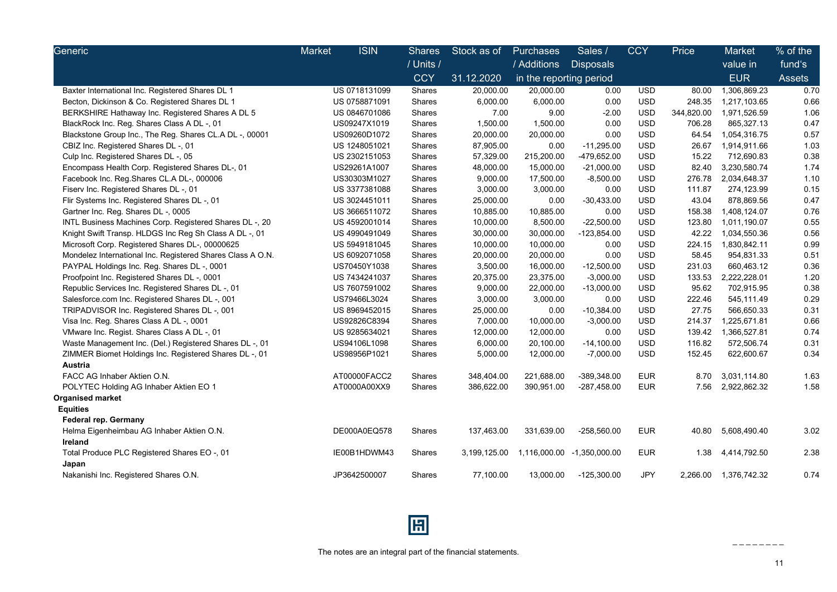| Generic                                                    | <b>ISIN</b><br><b>Market</b> | <b>Shares</b> | Stock as of  | <b>Purchases</b>        | Sales /          | <b>CCY</b> | Price      | Market       | % of the      |
|------------------------------------------------------------|------------------------------|---------------|--------------|-------------------------|------------------|------------|------------|--------------|---------------|
|                                                            |                              | / Units /     |              | / Additions             | <b>Disposals</b> |            |            | value in     | fund's        |
|                                                            |                              | <b>CCY</b>    | 31.12.2020   | in the reporting period |                  |            |            | <b>EUR</b>   | <b>Assets</b> |
| Baxter International Inc. Registered Shares DL 1           | US 0718131099                | Shares        | 20,000.00    | 20,000.00               | 0.00             | <b>USD</b> | 80.00      | 1,306,869.23 | 0.70          |
| Becton, Dickinson & Co. Registered Shares DL 1             | US 0758871091                | Shares        | 6,000.00     | 6,000.00                | 0.00             | <b>USD</b> | 248.35     | 1,217,103.65 | 0.66          |
| BERKSHIRE Hathaway Inc. Registered Shares A DL 5           | US 0846701086                | Shares        | 7.00         | 9.00                    | $-2.00$          | <b>USD</b> | 344,820.00 | 1,971,526.59 | 1.06          |
| BlackRock Inc. Reg. Shares Class A DL -, 01                | US09247X1019                 | Shares        | 1,500.00     | 1,500.00                | 0.00             | <b>USD</b> | 706.28     | 865,327.13   | 0.47          |
| Blackstone Group Inc., The Reg. Shares CL.A DL -, 00001    | US09260D1072                 | Shares        | 20,000.00    | 20,000.00               | 0.00             | <b>USD</b> | 64.54      | 1,054,316.75 | 0.57          |
| CBIZ Inc. Registered Shares DL -, 01                       | US 1248051021                | Shares        | 87,905.00    | 0.00                    | $-11,295.00$     | <b>USD</b> | 26.67      | 1,914,911.66 | 1.03          |
| Culp Inc. Registered Shares DL -, 05                       | US 2302151053                | Shares        | 57,329.00    | 215,200.00              | -479,652.00      | <b>USD</b> | 15.22      | 712,690.83   | 0.38          |
| Encompass Health Corp. Registered Shares DL-, 01           | US29261A1007                 | Shares        | 48,000.00    | 15,000.00               | $-21,000.00$     | <b>USD</b> | 82.40      | 3,230,580.74 | 1.74          |
| Facebook Inc. Reg.Shares CL.A DL-, 000006                  | US30303M1027                 | Shares        | 9,000.00     | 17,500.00               | $-8,500.00$      | <b>USD</b> | 276.78     | 2,034,648.37 | 1.10          |
| Fiserv Inc. Registered Shares DL -, 01                     | US 3377381088                | Shares        | 3,000.00     | 3,000.00                | 0.00             | <b>USD</b> | 111.87     | 274,123.99   | 0.15          |
| Flir Systems Inc. Registered Shares DL -, 01               | US 3024451011                | Shares        | 25,000.00    | 0.00                    | $-30,433.00$     | <b>USD</b> | 43.04      | 878,869.56   | 0.47          |
| Gartner Inc. Reg. Shares DL -, 0005                        | US 3666511072                | Shares        | 10,885.00    | 10,885.00               | 0.00             | <b>USD</b> | 158.38     | 1,408,124.07 | 0.76          |
| INTL Business Machines Corp. Registered Shares DL -, 20    | US 4592001014                | Shares        | 10,000.00    | 8,500.00                | $-22,500.00$     | <b>USD</b> | 123.80     | 1,011,190.07 | 0.55          |
| Knight Swift Transp. HLDGS Inc Reg Sh Class A DL -, 01     | US 4990491049                | Shares        | 30,000.00    | 30,000.00               | $-123,854.00$    | <b>USD</b> | 42.22      | 1,034,550.36 | 0.56          |
| Microsoft Corp. Registered Shares DL-, 00000625            | US 5949181045                | Shares        | 10,000.00    | 10,000.00               | 0.00             | <b>USD</b> | 224.15     | 1,830,842.11 | 0.99          |
| Mondelez International Inc. Registered Shares Class A O.N. | US 6092071058                | Shares        | 20,000.00    | 20,000.00               | 0.00             | <b>USD</b> | 58.45      | 954,831.33   | 0.51          |
| PAYPAL Holdings Inc. Reg. Shares DL -, 0001                | US70450Y1038                 | Shares        | 3,500.00     | 16,000.00               | $-12,500.00$     | <b>USD</b> | 231.03     | 660,463.12   | 0.36          |
| Proofpoint Inc. Registered Shares DL -, 0001               | US 7434241037                | Shares        | 20,375.00    | 23,375.00               | $-3,000.00$      | <b>USD</b> | 133.53     | 2,222,228.01 | 1.20          |
| Republic Services Inc. Registered Shares DL -, 01          | US 7607591002                | Shares        | 9,000.00     | 22,000.00               | $-13,000.00$     | <b>USD</b> | 95.62      | 702,915.95   | 0.38          |
| Salesforce.com Inc. Registered Shares DL -, 001            | US79466L3024                 | Shares        | 3,000.00     | 3,000.00                | 0.00             | <b>USD</b> | 222.46     | 545,111.49   | 0.29          |
| TRIPADVISOR Inc. Registered Shares DL -, 001               | US 8969452015                | Shares        | 25,000.00    | 0.00                    | $-10,384.00$     | <b>USD</b> | 27.75      | 566,650.33   | 0.31          |
| Visa Inc. Reg. Shares Class A DL -, 0001                   | US92826C8394                 | Shares        | 7,000.00     | 10,000.00               | $-3,000.00$      | <b>USD</b> | 214.37     | 1,225,671.81 | 0.66          |
| VMware Inc. Regist. Shares Class A DL -, 01                | US 9285634021                | Shares        | 12,000.00    | 12,000.00               | 0.00             | <b>USD</b> | 139.42     | 1,366,527.81 | 0.74          |
| Waste Management Inc. (Del.) Registered Shares DL -, 01    | US94106L1098                 | Shares        | 6,000.00     | 20,100.00               | $-14,100.00$     | <b>USD</b> | 116.82     | 572,506.74   | 0.31          |
| ZIMMER Biomet Holdings Inc. Registered Shares DL -, 01     | US98956P1021                 | Shares        | 5,000.00     | 12,000.00               | $-7,000.00$      | <b>USD</b> | 152.45     | 622,600.67   | 0.34          |
| Austria                                                    |                              |               |              |                         |                  |            |            |              |               |
| FACC AG Inhaber Aktien O.N.                                | AT00000FACC2                 | <b>Shares</b> | 348,404.00   | 221,688.00              | -389,348.00      | <b>EUR</b> | 8.70       | 3,031,114.80 | 1.63          |
| POLYTEC Holding AG Inhaber Aktien EO 1                     | AT0000A00XX9                 | <b>Shares</b> | 386,622.00   | 390,951.00              | $-287,458.00$    | <b>EUR</b> | 7.56       | 2,922,862.32 | 1.58          |
| <b>Organised market</b>                                    |                              |               |              |                         |                  |            |            |              |               |
| <b>Equities</b>                                            |                              |               |              |                         |                  |            |            |              |               |
| Federal rep. Germany                                       |                              |               |              |                         |                  |            |            |              |               |
| Helma Eigenheimbau AG Inhaber Aktien O.N.                  | DE000A0EQ578                 | Shares        | 137,463.00   | 331,639.00              | $-258,560.00$    | <b>EUR</b> | 40.80      | 5,608,490.40 | 3.02          |
| Ireland                                                    |                              |               |              |                         |                  |            |            |              |               |
| Total Produce PLC Registered Shares EO -, 01               | IE00B1HDWM43                 | Shares        | 3,199,125.00 | 1,116,000.00            | $-1,350,000.00$  | EUR        | 1.38       | 4,414,792.50 | 2.38          |
| Japan                                                      |                              |               |              |                         |                  |            |            |              |               |
| Nakanishi Inc. Registered Shares O.N.                      | JP3642500007                 | Shares        | 77,100.00    | 13,000.00               | $-125,300.00$    | <b>JPY</b> | 2,266.00   | 1,376,742.32 | 0.74          |

圖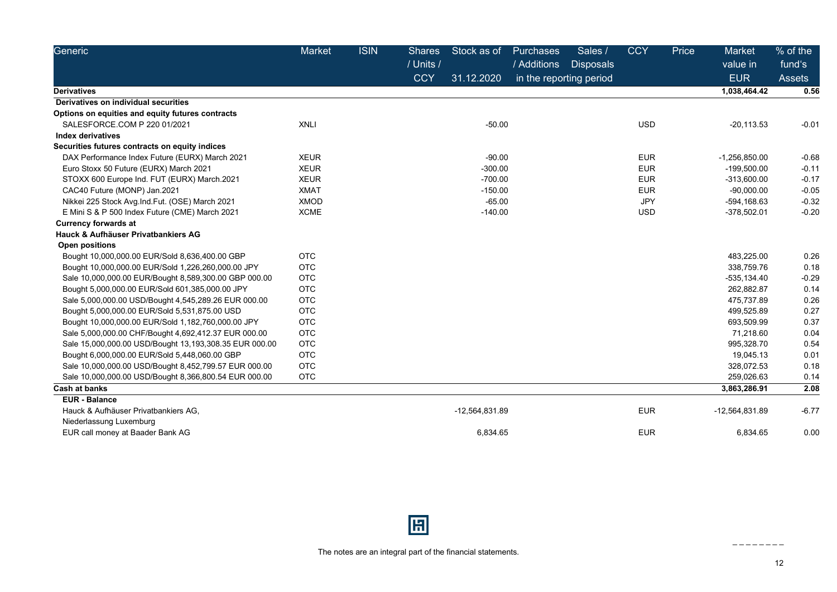| Generic                                                | <b>Market</b> | <b>ISIN</b> | <b>Shares</b> | Stock as of    | <b>Purchases</b>        | Sales /          | <b>CCY</b> | Price | Market                 | % of the         |
|--------------------------------------------------------|---------------|-------------|---------------|----------------|-------------------------|------------------|------------|-------|------------------------|------------------|
|                                                        |               |             | / Units /     |                | / Additions             | <b>Disposals</b> |            |       | value in<br><b>EUR</b> | fund's<br>Assets |
|                                                        |               |             | <b>CCY</b>    | 31.12.2020     | in the reporting period |                  |            |       |                        |                  |
| <b>Derivatives</b>                                     |               |             |               |                |                         |                  |            |       | 1,038,464.42           | 0.56             |
| Derivatives on individual securities                   |               |             |               |                |                         |                  |            |       |                        |                  |
| Options on equities and equity futures contracts       |               |             |               |                |                         |                  |            |       |                        |                  |
| SALESFORCE.COM P 220 01/2021                           | <b>XNLI</b>   |             |               | $-50.00$       |                         |                  | <b>USD</b> |       | $-20.113.53$           | $-0.01$          |
| <b>Index derivatives</b>                               |               |             |               |                |                         |                  |            |       |                        |                  |
| Securities futures contracts on equity indices         |               |             |               |                |                         |                  |            |       |                        |                  |
| DAX Performance Index Future (EURX) March 2021         | <b>XEUR</b>   |             |               | $-90.00$       |                         |                  | <b>EUR</b> |       | $-1,256,850.00$        | $-0.68$          |
| Euro Stoxx 50 Future (EURX) March 2021                 | <b>XEUR</b>   |             |               | $-300.00$      |                         |                  | <b>EUR</b> |       | $-199,500.00$          | $-0.11$          |
| STOXX 600 Europe Ind. FUT (EURX) March.2021            | <b>XEUR</b>   |             |               | $-700.00$      |                         |                  | <b>EUR</b> |       | $-313,600.00$          | $-0.17$          |
| CAC40 Future (MONP) Jan.2021                           | <b>XMAT</b>   |             |               | $-150.00$      |                         |                  | <b>EUR</b> |       | $-90,000.00$           | $-0.05$          |
| Nikkei 225 Stock Avg.Ind.Fut. (OSE) March 2021         | <b>XMOD</b>   |             |               | $-65.00$       |                         |                  | <b>JPY</b> |       | -594,168.63            | $-0.32$          |
| E Mini S & P 500 Index Future (CME) March 2021         | <b>XCME</b>   |             |               | $-140.00$      |                         |                  | <b>USD</b> |       | $-378,502.01$          | $-0.20$          |
| <b>Currency forwards at</b>                            |               |             |               |                |                         |                  |            |       |                        |                  |
| Hauck & Aufhäuser Privatbankiers AG                    |               |             |               |                |                         |                  |            |       |                        |                  |
| <b>Open positions</b>                                  |               |             |               |                |                         |                  |            |       |                        |                  |
| Bought 10,000,000.00 EUR/Sold 8,636,400.00 GBP         | <b>OTC</b>    |             |               |                |                         |                  |            |       | 483,225.00             | 0.26             |
| Bought 10,000,000.00 EUR/Sold 1,226,260,000.00 JPY     | <b>OTC</b>    |             |               |                |                         |                  |            |       | 338.759.76             | 0.18             |
| Sale 10,000,000.00 EUR/Bought 8,589,300.00 GBP 000.00  | <b>OTC</b>    |             |               |                |                         |                  |            |       | $-535, 134.40$         | $-0.29$          |
| Bought 5,000,000.00 EUR/Sold 601,385,000.00 JPY        | <b>OTC</b>    |             |               |                |                         |                  |            |       | 262.882.87             | 0.14             |
| Sale 5,000,000.00 USD/Bought 4,545,289.26 EUR 000.00   | <b>OTC</b>    |             |               |                |                         |                  |            |       | 475,737.89             | 0.26             |
| Bought 5,000,000.00 EUR/Sold 5,531,875.00 USD          | <b>OTC</b>    |             |               |                |                         |                  |            |       | 499,525.89             | 0.27             |
| Bought 10,000,000.00 EUR/Sold 1,182,760,000.00 JPY     | <b>OTC</b>    |             |               |                |                         |                  |            |       | 693,509.99             | 0.37             |
| Sale 5,000,000.00 CHF/Bought 4,692,412.37 EUR 000.00   | <b>OTC</b>    |             |               |                |                         |                  |            |       | 71,218.60              | 0.04             |
| Sale 15,000,000.00 USD/Bought 13,193,308.35 EUR 000.00 | <b>OTC</b>    |             |               |                |                         |                  |            |       | 995,328.70             | 0.54             |
| Bought 6,000,000.00 EUR/Sold 5,448,060.00 GBP          | <b>OTC</b>    |             |               |                |                         |                  |            |       | 19,045.13              | 0.01             |
| Sale 10,000,000.00 USD/Bought 8,452,799.57 EUR 000.00  | <b>OTC</b>    |             |               |                |                         |                  |            |       | 328,072.53             | 0.18             |
| Sale 10,000,000.00 USD/Bought 8,366,800.54 EUR 000.00  | <b>OTC</b>    |             |               |                |                         |                  |            |       | 259,026.63             | 0.14             |
| <b>Cash at banks</b>                                   |               |             |               |                |                         |                  |            |       | 3,863,286.91           | 2.08             |
| <b>EUR</b> - Balance                                   |               |             |               |                |                         |                  |            |       |                        |                  |
| Hauck & Aufhäuser Privatbankiers AG,                   |               |             |               | -12,564,831.89 |                         |                  | <b>EUR</b> |       | -12,564,831.89         | $-6.77$          |
| Niederlassung Luxemburg                                |               |             |               |                |                         |                  |            |       |                        |                  |
| EUR call money at Baader Bank AG                       |               |             |               | 6,834.65       |                         |                  | <b>EUR</b> |       | 6,834.65               | 0.00             |

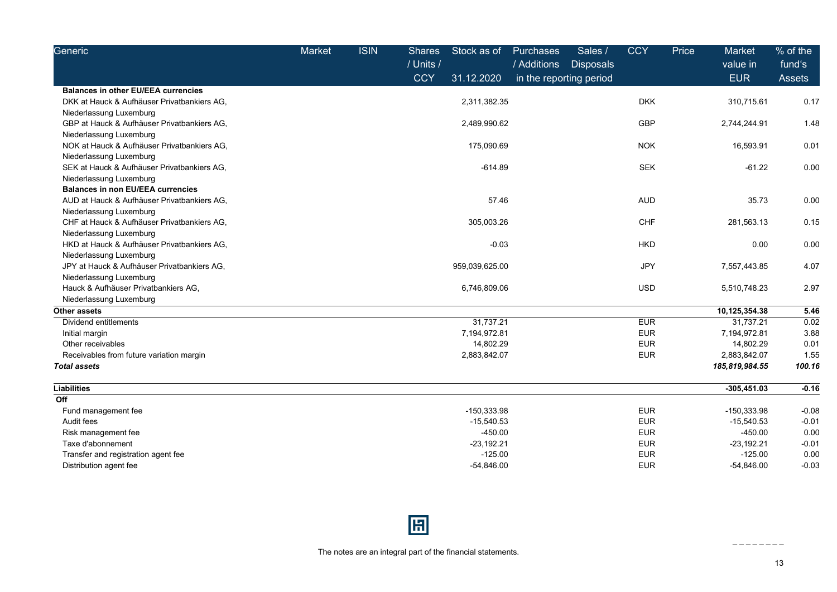| Generic                                     | Market | <b>ISIN</b> | <b>Shares</b><br>/ Units / | Stock as of    | <b>Purchases</b><br>/ Additions | Sales /<br><b>Disposals</b> | <b>CCY</b> | Price | <b>Market</b><br>value in | % of the<br>fund's |
|---------------------------------------------|--------|-------------|----------------------------|----------------|---------------------------------|-----------------------------|------------|-------|---------------------------|--------------------|
|                                             |        |             | <b>CCY</b>                 | 31.12.2020     |                                 | in the reporting period     |            |       | <b>EUR</b>                | Assets             |
| <b>Balances in other EU/EEA currencies</b>  |        |             |                            |                |                                 |                             |            |       |                           |                    |
| DKK at Hauck & Aufhäuser Privatbankiers AG. |        |             |                            | 2,311,382.35   |                                 |                             | <b>DKK</b> |       | 310,715.61                | 0.17               |
| Niederlassung Luxemburg                     |        |             |                            |                |                                 |                             |            |       |                           |                    |
| GBP at Hauck & Aufhäuser Privatbankiers AG, |        |             |                            | 2,489,990.62   |                                 |                             | <b>GBP</b> |       | 2,744,244.91              | 1.48               |
| Niederlassung Luxemburg                     |        |             |                            |                |                                 |                             |            |       |                           |                    |
| NOK at Hauck & Aufhäuser Privatbankiers AG, |        |             |                            | 175,090.69     |                                 |                             | <b>NOK</b> |       | 16,593.91                 | 0.01               |
| Niederlassung Luxemburg                     |        |             |                            |                |                                 |                             |            |       |                           |                    |
| SEK at Hauck & Aufhäuser Privatbankiers AG, |        |             |                            | $-614.89$      |                                 |                             | <b>SEK</b> |       | $-61.22$                  | 0.00               |
| Niederlassung Luxemburg                     |        |             |                            |                |                                 |                             |            |       |                           |                    |
| <b>Balances in non EU/EEA currencies</b>    |        |             |                            |                |                                 |                             |            |       |                           |                    |
| AUD at Hauck & Aufhäuser Privatbankiers AG, |        |             |                            | 57.46          |                                 |                             | <b>AUD</b> |       | 35.73                     | 0.00               |
| Niederlassung Luxemburg                     |        |             |                            |                |                                 |                             |            |       |                           |                    |
| CHF at Hauck & Aufhäuser Privatbankiers AG, |        |             |                            | 305,003.26     |                                 |                             | <b>CHF</b> |       | 281,563.13                | 0.15               |
| Niederlassung Luxemburg                     |        |             |                            |                |                                 |                             |            |       |                           |                    |
| HKD at Hauck & Aufhäuser Privatbankiers AG, |        |             |                            | $-0.03$        |                                 |                             | <b>HKD</b> |       | 0.00                      | 0.00               |
| Niederlassung Luxemburg                     |        |             |                            |                |                                 |                             |            |       |                           |                    |
| JPY at Hauck & Aufhäuser Privatbankiers AG, |        |             |                            | 959,039,625.00 |                                 |                             | <b>JPY</b> |       | 7,557,443.85              | 4.07               |
| Niederlassung Luxemburg                     |        |             |                            |                |                                 |                             |            |       |                           |                    |
| Hauck & Aufhäuser Privatbankiers AG,        |        |             |                            | 6,746,809.06   |                                 |                             | <b>USD</b> |       | 5,510,748.23              | 2.97               |
| Niederlassung Luxemburg                     |        |             |                            |                |                                 |                             |            |       |                           |                    |
| <b>Other assets</b>                         |        |             |                            |                |                                 |                             |            |       | 10,125,354.38             | 5.46               |
| Dividend entitlements                       |        |             |                            | 31,737.21      |                                 |                             | <b>EUR</b> |       | 31,737.21                 | 0.02               |
| Initial margin                              |        |             |                            | 7,194,972.81   |                                 |                             | <b>EUR</b> |       | 7,194,972.81              | 3.88               |
| Other receivables                           |        |             |                            | 14,802.29      |                                 |                             | <b>EUR</b> |       | 14,802.29                 | 0.01               |
| Receivables from future variation margin    |        |             |                            | 2,883,842.07   |                                 |                             | <b>EUR</b> |       | 2,883,842.07              | 1.55               |
| <b>Total assets</b>                         |        |             |                            |                |                                 |                             |            |       | 185,819,984.55            | 100.16             |
| <b>Liabilities</b>                          |        |             |                            |                |                                 |                             |            |       | $-305,451.03$             | $-0.16$            |
| Off                                         |        |             |                            |                |                                 |                             |            |       |                           |                    |
| Fund management fee                         |        |             |                            | $-150,333.98$  |                                 |                             | <b>EUR</b> |       | -150,333.98               | $-0.08$            |
| Audit fees                                  |        |             |                            | $-15,540.53$   |                                 |                             | <b>EUR</b> |       | $-15,540.53$              | $-0.01$            |
| Risk management fee                         |        |             |                            | $-450.00$      |                                 |                             | <b>EUR</b> |       | $-450.00$                 | 0.00               |
| Taxe d'abonnement                           |        |             |                            | $-23,192.21$   |                                 |                             | <b>EUR</b> |       | $-23,192.21$              | $-0.01$            |
| Transfer and registration agent fee         |        |             |                            | $-125.00$      |                                 |                             | <b>EUR</b> |       | $-125.00$                 | 0.00               |
| Distribution agent fee                      |        |             |                            | $-54.846.00$   |                                 |                             | <b>EUR</b> |       | $-54,846.00$              | $-0.03$            |



13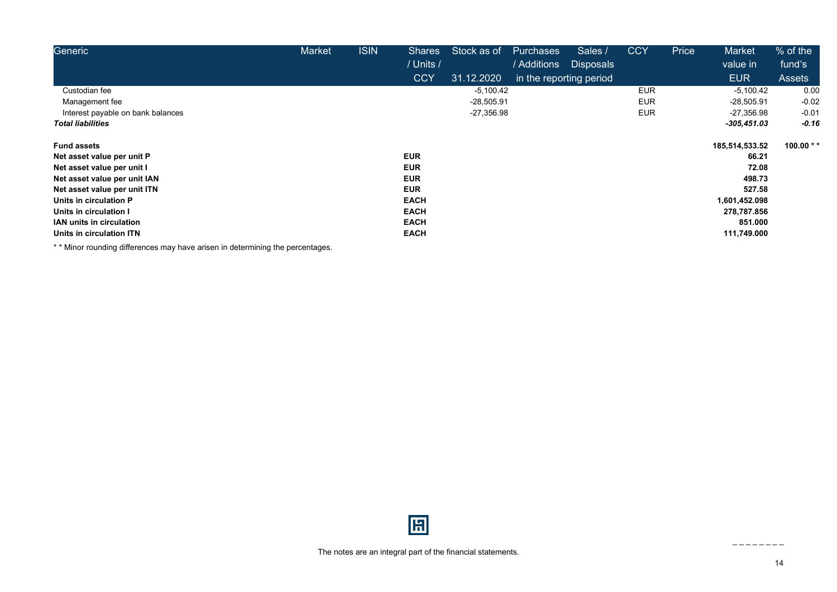| Generic                           | Market | <b>ISIN</b> | <b>Shares</b> | Stock as of  | Purchases               | Sales /          | <b>CCY</b> | Price | <b>Market</b>  | $%$ of the     |
|-----------------------------------|--------|-------------|---------------|--------------|-------------------------|------------------|------------|-------|----------------|----------------|
|                                   |        |             | / Units /     |              | / Additions             | <b>Disposals</b> |            |       | value in       | fund's         |
|                                   |        |             | <b>CCY</b>    | 31.12.2020   | in the reporting period |                  |            |       | <b>EUR</b>     | <b>Assets</b>  |
| Custodian fee                     |        |             |               | $-5,100.42$  |                         |                  | <b>EUR</b> |       | $-5,100.42$    | 0.00           |
| Management fee                    |        |             |               | $-28,505.91$ |                         |                  | <b>EUR</b> |       | $-28,505.91$   | $-0.02$        |
| Interest payable on bank balances |        |             |               | $-27,356.98$ |                         |                  | <b>EUR</b> |       | $-27,356.98$   | $-0.01$        |
| <b>Total liabilities</b>          |        |             |               |              |                         |                  |            |       | $-305,451.03$  | $-0.16$        |
| <b>Fund assets</b>                |        |             |               |              |                         |                  |            |       | 185,514,533.52 | 100.00 $*$ $*$ |
| Net asset value per unit P        |        |             | <b>EUR</b>    |              |                         |                  |            |       | 66.21          |                |
| Net asset value per unit I        |        |             | <b>EUR</b>    |              |                         |                  |            |       | 72.08          |                |
| Net asset value per unit IAN      |        |             | <b>EUR</b>    |              |                         |                  |            |       | 498.73         |                |
| Net asset value per unit ITN      |        |             | <b>EUR</b>    |              |                         |                  |            |       | 527.58         |                |
| Units in circulation P            |        |             | <b>EACH</b>   |              |                         |                  |            |       | 1,601,452.098  |                |
| Units in circulation I            |        |             | <b>EACH</b>   |              |                         |                  |            |       | 278,787.856    |                |
| <b>IAN units in circulation</b>   |        |             | <b>EACH</b>   |              |                         |                  |            |       | 851.000        |                |
| Units in circulation ITN          |        |             | <b>EACH</b>   |              |                         |                  |            |       | 111,749.000    |                |

\* \* Minor rounding differences may have arisen in determining the percentages.

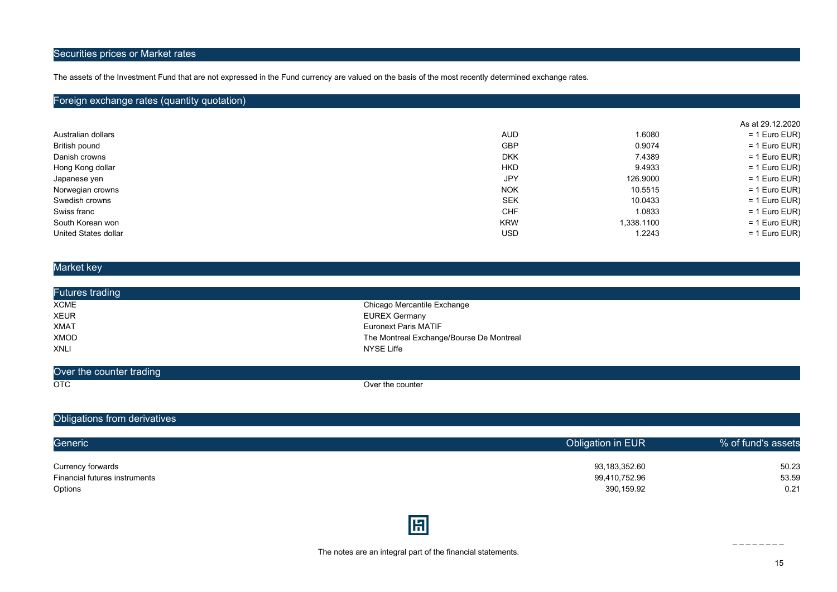### Securities prices or Market rates

The assets of the Investment Fund that are not expressed in the Fund currency are valued on the basis of the most recently determined exchange rates.

#### Foreign exchange rates (quantity quotation)

|                      |            |            | As at 29.12.2020 |
|----------------------|------------|------------|------------------|
| Australian dollars   | <b>AUD</b> | 1.6080     | $= 1$ Euro EUR)  |
| British pound        | <b>GBP</b> | 0.9074     | $= 1$ Euro EUR)  |
| Danish crowns        | <b>DKK</b> | 7.4389     | $= 1$ Euro EUR)  |
| Hong Kong dollar     | <b>HKD</b> | 9.4933     | $= 1$ Euro EUR)  |
| Japanese yen         | JPY        | 126.9000   | $= 1$ Euro EUR)  |
| Norwegian crowns     | <b>NOK</b> | 10.5515    | $= 1$ Euro EUR)  |
| Swedish crowns       | <b>SEK</b> | 10.0433    | $= 1$ Euro EUR)  |
| Swiss franc          | <b>CHF</b> | 1.0833     | $= 1$ Euro EUR)  |
| South Korean won     | <b>KRW</b> | 1,338.1100 | $= 1$ Euro EUR)  |
| United States dollar | <b>USD</b> | 1.2243     | $= 1$ Euro EUR)  |

#### Market key

| Futures trading |                                          |
|-----------------|------------------------------------------|
| <b>XCME</b>     | Chicago Mercantile Exchange              |
| <b>XEUR</b>     | EUREX Germany                            |
| <b>XMAT</b>     | Euronext Paris MATIF                     |
| XMOD            | The Montreal Exchange/Bourse De Montreal |
| <b>XNLI</b>     | NYSE Liffe                               |
|                 |                                          |

| <b>Over</b><br>the counter trading |                         |
|------------------------------------|-------------------------|
| OTC<br>$\sim$ $\sim$               | ،e counter<br>. War the |

### Obligations from derivatives

| Generic                       | Obligation in EUR | % of fund's assets |
|-------------------------------|-------------------|--------------------|
| Currency forwards             | 93,183,352.60     | 50.23              |
| Financial futures instruments | 99,410,752.96     | 53.59              |
| Options                       | 390,159.92        | 0.21               |
|                               |                   |                    |

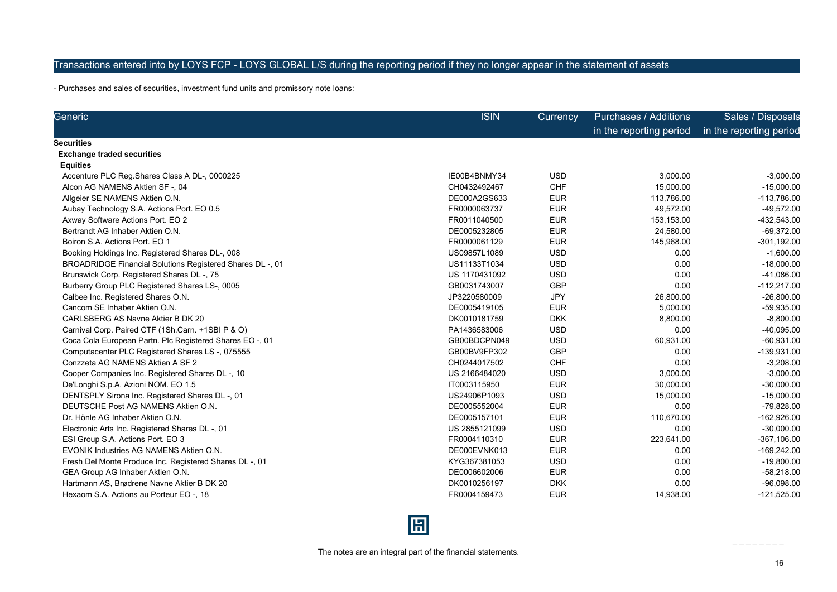### Transactions entered into by LOYS FCP - LOYS GLOBAL L/S during the reporting period if they no longer appear in the statement of assets

- Purchases and sales of securities, investment fund units and promissory note loans:

| Generic                                                         | <b>ISIN</b>   | <b>Currency</b> | <b>Purchases / Additions</b> | Sales / Disposals       |
|-----------------------------------------------------------------|---------------|-----------------|------------------------------|-------------------------|
|                                                                 |               |                 | in the reporting period      | in the reporting period |
| Securities                                                      |               |                 |                              |                         |
| <b>Exchange traded securities</b>                               |               |                 |                              |                         |
| <b>Equities</b>                                                 |               |                 |                              |                         |
| Accenture PLC Reg. Shares Class A DL-, 0000225                  | IE00B4BNMY34  | <b>USD</b>      | 3,000.00                     | $-3,000.00$             |
| Alcon AG NAMENS Aktien SF -, 04                                 | CH0432492467  | <b>CHF</b>      | 15,000.00                    | $-15,000.00$            |
| Allgeier SE NAMENS Aktien O.N.                                  | DE000A2GS633  | <b>EUR</b>      | 113,786.00                   | $-113,786.00$           |
| Aubay Technology S.A. Actions Port. EO 0.5                      | FR0000063737  | <b>EUR</b>      | 49,572.00                    | -49,572.00              |
| Axway Software Actions Port. EO 2                               | FR0011040500  | <b>EUR</b>      | 153,153.00                   | -432,543.00             |
| Bertrandt AG Inhaber Aktien O.N.                                | DE0005232805  | <b>EUR</b>      | 24,580.00                    | $-69,372.00$            |
| Boiron S.A. Actions Port. EO 1                                  | FR0000061129  | <b>EUR</b>      | 145,968.00                   | $-301, 192.00$          |
| Booking Holdings Inc. Registered Shares DL-, 008                | US09857L1089  | <b>USD</b>      | 0.00                         | $-1,600.00$             |
| <b>BROADRIDGE Financial Solutions Registered Shares DL-, 01</b> | US11133T1034  | <b>USD</b>      | 0.00                         | $-18,000.00$            |
| Brunswick Corp. Registered Shares DL -, 75                      | US 1170431092 | <b>USD</b>      | 0.00                         | $-41,086.00$            |
| Burberry Group PLC Registered Shares LS-, 0005                  | GB0031743007  | <b>GBP</b>      | 0.00                         | $-112,217.00$           |
| Calbee Inc. Registered Shares O.N.                              | JP3220580009  | <b>JPY</b>      | 26,800.00                    | $-26,800.00$            |
| Cancom SE Inhaber Aktien O.N.                                   | DE0005419105  | <b>EUR</b>      | 5,000.00                     | $-59,935.00$            |
| CARLSBERG AS Navne Aktier B DK 20                               | DK0010181759  | <b>DKK</b>      | 8,800.00                     | $-8,800.00$             |
| Carnival Corp. Paired CTF (1Sh.Carn. +1SBI P & O)               | PA1436583006  | <b>USD</b>      | 0.00                         | $-40,095.00$            |
| Coca Cola European Partn. Plc Registered Shares EO -, 01        | GB00BDCPN049  | <b>USD</b>      | 60,931.00                    | $-60,931.00$            |
| Computacenter PLC Registered Shares LS-, 075555                 | GB00BV9FP302  | <b>GBP</b>      | 0.00                         | -139,931.00             |
| Conzzeta AG NAMENS Aktien A SF 2                                | CH0244017502  | <b>CHF</b>      | 0.00                         | $-3,208.00$             |
| Cooper Companies Inc. Registered Shares DL -, 10                | US 2166484020 | <b>USD</b>      | 3,000.00                     | $-3,000.00$             |
| De'Longhi S.p.A. Azioni NOM. EO 1.5                             | IT0003115950  | <b>EUR</b>      | 30,000.00                    | $-30,000.00$            |
| DENTSPLY Sirona Inc. Registered Shares DL -, 01                 | US24906P1093  | <b>USD</b>      | 15,000.00                    | $-15,000.00$            |
| DEUTSCHE Post AG NAMENS Aktien O.N.                             | DE0005552004  | <b>EUR</b>      | 0.00                         | $-79,828.00$            |
| Dr. Hönle AG Inhaber Aktien O.N.                                | DE0005157101  | <b>EUR</b>      | 110,670.00                   | $-162,926.00$           |
| Electronic Arts Inc. Registered Shares DL -, 01                 | US 2855121099 | <b>USD</b>      | 0.00                         | $-30,000.00$            |
| ESI Group S.A. Actions Port. EO 3                               | FR0004110310  | <b>EUR</b>      | 223,641.00                   | $-367, 106.00$          |
| EVONIK Industries AG NAMENS Aktien O.N.                         | DE000EVNK013  | <b>EUR</b>      | 0.00                         | $-169,242.00$           |
| Fresh Del Monte Produce Inc. Registered Shares DL -, 01         | KYG367381053  | <b>USD</b>      | 0.00                         | $-19,800.00$            |
| GEA Group AG Inhaber Aktien O.N.                                | DE0006602006  | <b>EUR</b>      | 0.00                         | $-58,218.00$            |
| Hartmann AS, Brødrene Navne Aktier B DK 20                      | DK0010256197  | <b>DKK</b>      | 0.00                         | $-96,098.00$            |
| Hexaom S.A. Actions au Porteur EO -, 18                         | FR0004159473  | <b>EUR</b>      | 14,938.00                    | $-121,525.00$           |

## 圓

16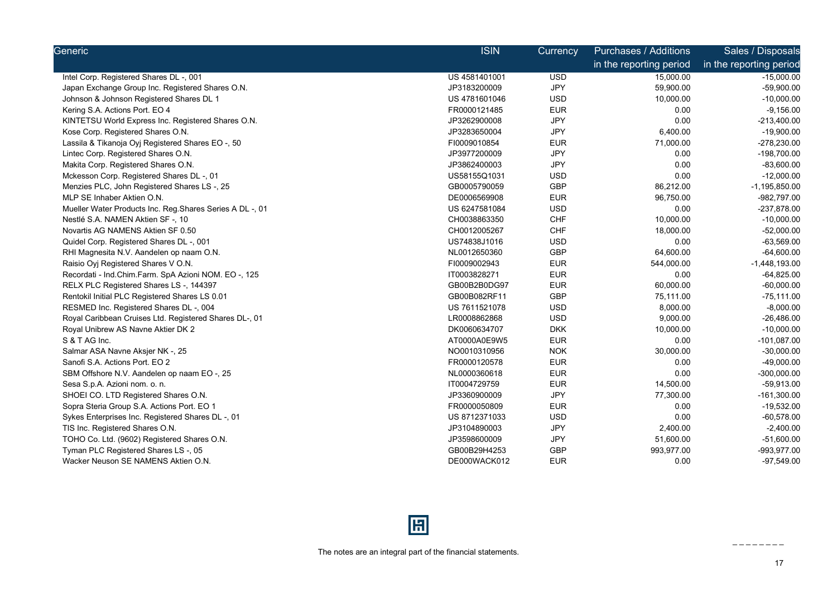| Generic                                                   | <b>ISIN</b>   | Currency   | <b>Purchases / Additions</b> | Sales / Disposals       |
|-----------------------------------------------------------|---------------|------------|------------------------------|-------------------------|
|                                                           |               |            | in the reporting period      | in the reporting period |
| Intel Corp. Registered Shares DL -, 001                   | US 4581401001 | <b>USD</b> | 15,000.00                    | $-15,000.00$            |
| Japan Exchange Group Inc. Registered Shares O.N.          | JP3183200009  | <b>JPY</b> | 59,900.00                    | $-59,900.00$            |
| Johnson & Johnson Registered Shares DL 1                  | US 4781601046 | <b>USD</b> | 10,000.00                    | $-10,000.00$            |
| Kering S.A. Actions Port. EO 4                            | FR0000121485  | <b>EUR</b> | 0.00                         | $-9,156.00$             |
| KINTETSU World Express Inc. Registered Shares O.N.        | JP3262900008  | JPY        | 0.00                         | $-213,400.00$           |
| Kose Corp. Registered Shares O.N.                         | JP3283650004  | <b>JPY</b> | 6,400.00                     | $-19,900.00$            |
| Lassila & Tikanoja Oyj Registered Shares EO -, 50         | FI0009010854  | <b>EUR</b> | 71,000.00                    | -278,230.00             |
| Lintec Corp. Registered Shares O.N.                       | JP3977200009  | JPY        | 0.00                         | -198,700.00             |
| Makita Corp. Registered Shares O.N.                       | JP3862400003  | <b>JPY</b> | 0.00                         | $-83,600.00$            |
| Mckesson Corp. Registered Shares DL -, 01                 | US58155Q1031  | <b>USD</b> | 0.00                         | $-12,000.00$            |
| Menzies PLC, John Registered Shares LS-, 25               | GB0005790059  | GBP        | 86,212.00                    | $-1,195,850.00$         |
| MLP SE Inhaber Aktien O.N.                                | DE0006569908  | <b>EUR</b> | 96,750.00                    | -982,797.00             |
| Mueller Water Products Inc. Reg. Shares Series A DL -, 01 | US 6247581084 | <b>USD</b> | 0.00                         | -237,878.00             |
| Nestlé S.A. NAMEN Aktien SF-, 10                          | CH0038863350  | <b>CHF</b> | 10,000.00                    | $-10,000.00$            |
| Novartis AG NAMENS Aktien SF 0.50                         | CH0012005267  | <b>CHF</b> | 18,000.00                    | $-52,000.00$            |
| Quidel Corp. Registered Shares DL -, 001                  | US74838J1016  | <b>USD</b> | 0.00                         | $-63,569.00$            |
| RHI Magnesita N.V. Aandelen op naam O.N.                  | NL0012650360  | GBP        | 64,600.00                    | $-64,600.00$            |
| Raisio Oyj Registered Shares V O.N.                       | FI0009002943  | <b>EUR</b> | 544,000.00                   | $-1,448,193.00$         |
| Recordati - Ind.Chim.Farm. SpA Azioni NOM. EO -, 125      | IT0003828271  | <b>EUR</b> | 0.00                         | $-64,825.00$            |
| RELX PLC Registered Shares LS -, 144397                   | GB00B2B0DG97  | <b>EUR</b> | 60,000.00                    | $-60,000.00$            |
| Rentokil Initial PLC Registered Shares LS 0.01            | GB00B082RF11  | <b>GBP</b> | 75,111.00                    | $-75, 111.00$           |
| RESMED Inc. Registered Shares DL-, 004                    | US 7611521078 | <b>USD</b> | 8,000.00                     | $-8,000.00$             |
| Royal Caribbean Cruises Ltd. Registered Shares DL-, 01    | LR0008862868  | <b>USD</b> | 9,000.00                     | $-26,486.00$            |
| Royal Unibrew AS Navne Aktier DK 2                        | DK0060634707  | <b>DKK</b> | 10,000.00                    | $-10,000.00$            |
| S & T AG Inc.                                             | AT0000A0E9W5  | <b>EUR</b> | 0.00                         | $-101,087.00$           |
| Salmar ASA Navne Aksjer NK -, 25                          | NO0010310956  | <b>NOK</b> | 30,000.00                    | $-30,000.00$            |
| Sanofi S.A. Actions Port. EO 2                            | FR0000120578  | <b>EUR</b> | 0.00                         | $-49,000.00$            |
| SBM Offshore N.V. Aandelen op naam EO -, 25               | NL0000360618  | <b>EUR</b> | 0.00                         | $-300,000.00$           |
| Sesa S.p.A. Azioni nom. o. n.                             | IT0004729759  | <b>EUR</b> | 14,500.00                    | $-59,913.00$            |
| SHOEI CO. LTD Registered Shares O.N.                      | JP3360900009  | <b>JPY</b> | 77,300.00                    | $-161,300.00$           |
| Sopra Steria Group S.A. Actions Port. EO 1                | FR0000050809  | <b>EUR</b> | 0.00                         | $-19,532.00$            |
| Sykes Enterprises Inc. Registered Shares DL -, 01         | US 8712371033 | <b>USD</b> | 0.00                         | $-60,578.00$            |
| TIS Inc. Registered Shares O.N.                           | JP3104890003  | JPY        | 2,400.00                     | $-2,400.00$             |
| TOHO Co. Ltd. (9602) Registered Shares O.N.               | JP3598600009  | <b>JPY</b> | 51,600.00                    | $-51,600.00$            |
| Tyman PLC Registered Shares LS-, 05                       | GB00B29H4253  | <b>GBP</b> | 993,977.00                   | -993,977.00             |
| Wacker Neuson SE NAMENS Aktien O.N.                       | DE000WACK012  | <b>EUR</b> | 0.00                         | $-97,549.00$            |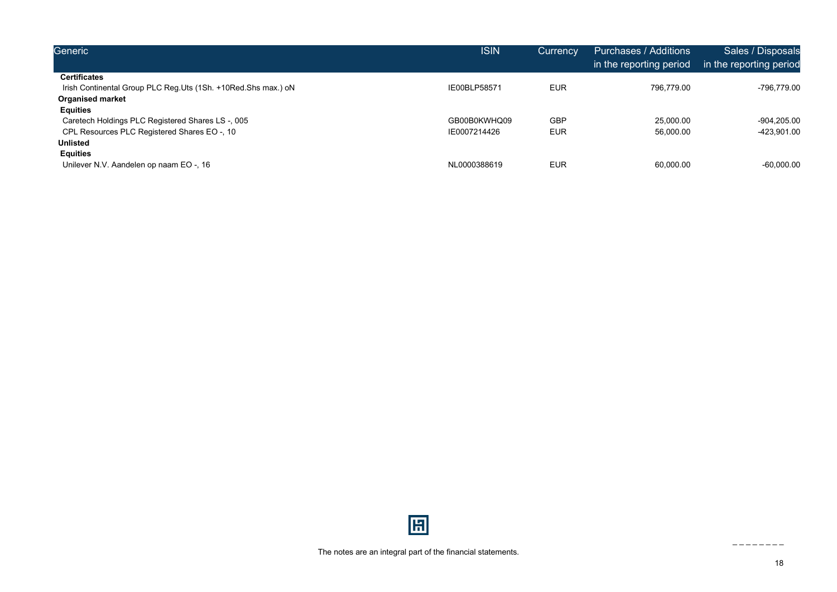| Generic                                                       | <b>ISIN</b>  | <b>Currency</b> | Purchases / Additions<br>in the reporting period | Sales / Disposals<br>in the reporting period |
|---------------------------------------------------------------|--------------|-----------------|--------------------------------------------------|----------------------------------------------|
| <b>Certificates</b>                                           |              |                 |                                                  |                                              |
| Irish Continental Group PLC Reg.Uts (1Sh. +10Red.Shs max.) oN | IE00BLP58571 | <b>EUR</b>      | 796.779.00                                       | -796.779.00                                  |
| <b>Organised market</b>                                       |              |                 |                                                  |                                              |
| <b>Equities</b>                                               |              |                 |                                                  |                                              |
| Caretech Holdings PLC Registered Shares LS -, 005             | GB00B0KWHQ09 | <b>GBP</b>      | 25,000.00                                        | -904.205.00                                  |
| CPL Resources PLC Registered Shares EO -, 10                  | IE0007214426 | <b>EUR</b>      | 56,000.00                                        | -423,901.00                                  |
| <b>Unlisted</b>                                               |              |                 |                                                  |                                              |
| <b>Equities</b>                                               |              |                 |                                                  |                                              |
| Unilever N.V. Aandelen op naam EO -, 16                       | NL0000388619 | <b>EUR</b>      | 60,000.00                                        | $-60,000.00$                                 |

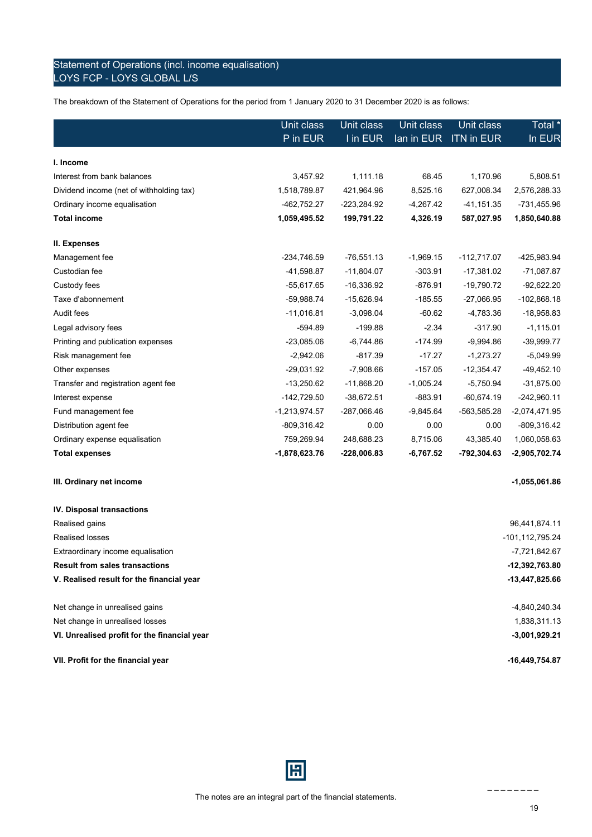### Statement of Operations (incl. income equalisation) LOYS FCP - LOYS GLOBAL L/S

The breakdown of the Statement of Operations for the period from 1 January 2020 to 31 December 2020 is as follows:

|                                          | Unit class      | Unit class    | Unit class  | Unit class        | Total *         |
|------------------------------------------|-----------------|---------------|-------------|-------------------|-----------------|
|                                          | P in EUR        | I in EUR      | lan in EUR  | <b>ITN in EUR</b> | In EUR          |
|                                          |                 |               |             |                   |                 |
| I. Income                                |                 |               |             |                   |                 |
| Interest from bank balances              | 3,457.92        | 1,111.18      | 68.45       | 1,170.96          | 5,808.51        |
| Dividend income (net of withholding tax) | 1,518,789.87    | 421,964.96    | 8,525.16    | 627,008.34        | 2,576,288.33    |
| Ordinary income equalisation             | -462,752.27     | -223,284.92   | $-4,267.42$ | -41,151.35        | -731,455.96     |
| <b>Total income</b>                      | 1,059,495.52    | 199,791.22    | 4,326.19    | 587,027.95        | 1,850,640.88    |
| II. Expenses                             |                 |               |             |                   |                 |
| Management fee                           | -234,746.59     | $-76,551.13$  | $-1,969.15$ | $-112,717.07$     | -425,983.94     |
| Custodian fee                            | -41,598.87      | $-11,804.07$  | $-303.91$   | $-17,381.02$      | $-71,087.87$    |
| Custody fees                             | $-55,617.65$    | $-16,336.92$  | $-876.91$   | $-19,790.72$      | $-92,622.20$    |
| Taxe d'abonnement                        | -59,988.74      | $-15,626.94$  | $-185.55$   | $-27,066.95$      | $-102,868.18$   |
| Audit fees                               | $-11,016.81$    | $-3,098.04$   | $-60.62$    | -4,783.36         | $-18,958.83$    |
| Legal advisory fees                      | $-594.89$       | $-199.88$     | $-2.34$     | $-317.90$         | $-1,115.01$     |
| Printing and publication expenses        | $-23,085.06$    | $-6,744.86$   | $-174.99$   | $-9,994.86$       | $-39,999.77$    |
| Risk management fee                      | $-2,942.06$     | $-817.39$     | $-17.27$    | $-1,273.27$       | $-5,049.99$     |
| Other expenses                           | -29,031.92      | $-7,908.66$   | $-157.05$   | $-12,354.47$      | $-49,452.10$    |
| Transfer and registration agent fee      | $-13,250.62$    | $-11,868.20$  | $-1,005.24$ | $-5,750.94$       | $-31,875.00$    |
| Interest expense                         | $-142,729.50$   | $-38,672.51$  | $-883.91$   | $-60,674.19$      | $-242,960.11$   |
| Fund management fee                      | $-1,213,974.57$ | -287,066.46   | $-9,845.64$ | -563,585.28       | $-2,074,471.95$ |
| Distribution agent fee                   | $-809,316.42$   | 0.00          | 0.00        | 0.00              | -809,316.42     |
| Ordinary expense equalisation            | 759,269.94      | 248,688.23    | 8,715.06    | 43,385.40         | 1,060,058.63    |
| <b>Total expenses</b>                    | $-1,878,623.76$ | $-228,006.83$ | $-6,767.52$ | -792,304.63       | $-2,905,702.74$ |

#### **III. Ordinary net income -1,055,061.86**

| $-16,449,754.87$ |
|------------------|
| $-3,001,929.21$  |
| 1,838,311.13     |
| -4,840,240.34    |
| -13,447,825.66   |
| -12,392,763.80   |
| -7,721,842.67    |
| -101,112,795.24  |
| 96,441,874.11    |
|                  |
|                  |

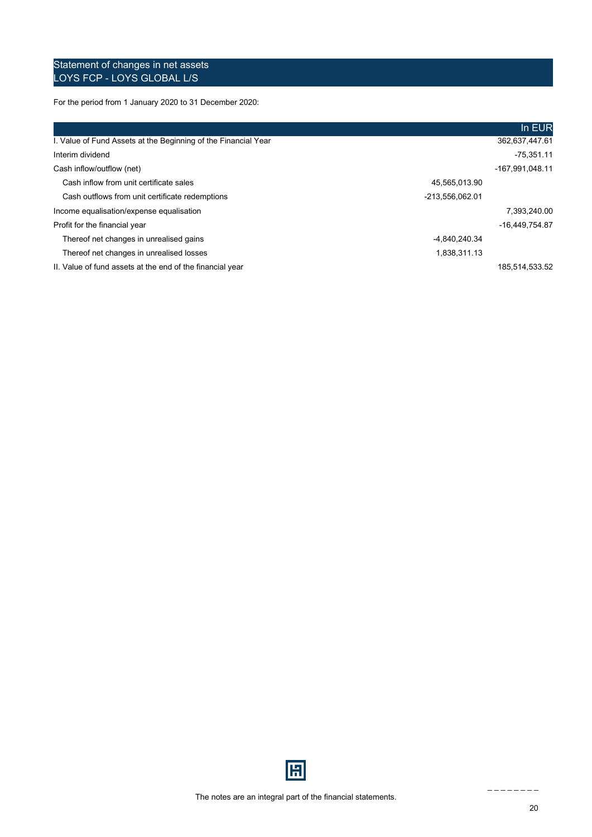### Statement of changes in net assets LOYS FCP - LOYS GLOBAL L/S

For the period from 1 January 2020 to 31 December 2020:

|                                                                |                 | In EUR          |
|----------------------------------------------------------------|-----------------|-----------------|
| I. Value of Fund Assets at the Beginning of the Financial Year |                 | 362,637,447.61  |
| Interim dividend                                               |                 | $-75,351.11$    |
| Cash inflow/outflow (net)                                      |                 | -167,991,048.11 |
| Cash inflow from unit certificate sales                        | 45.565.013.90   |                 |
| Cash outflows from unit certificate redemptions                | -213,556,062.01 |                 |
| Income equalisation/expense equalisation                       |                 | 7,393,240.00    |
| Profit for the financial year                                  |                 | -16.449.754.87  |
| Thereof net changes in unrealised gains                        | -4.840.240.34   |                 |
| Thereof net changes in unrealised losses                       | 1,838,311.13    |                 |
| II. Value of fund assets at the end of the financial year      |                 | 185.514.533.52  |

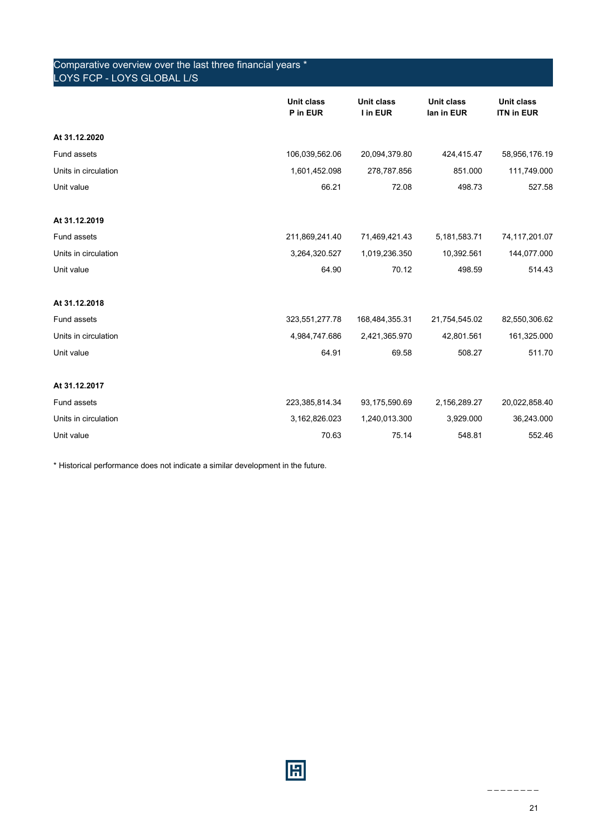| Comparative overview over the last three financial years *<br>LOYS FCP - LOYS GLOBAL L/S |                               |                               |                                 |                                 |
|------------------------------------------------------------------------------------------|-------------------------------|-------------------------------|---------------------------------|---------------------------------|
|                                                                                          | <b>Unit class</b><br>P in EUR | <b>Unit class</b><br>I in EUR | <b>Unit class</b><br>lan in EUR | Unit class<br><b>ITN in EUR</b> |
| At 31.12.2020                                                                            |                               |                               |                                 |                                 |
| Fund assets                                                                              | 106,039,562.06                | 20,094,379.80                 | 424,415.47                      | 58,956,176.19                   |
| Units in circulation                                                                     | 1,601,452.098                 | 278,787.856                   | 851.000                         | 111,749.000                     |
| Unit value                                                                               | 66.21                         | 72.08                         | 498.73                          | 527.58                          |
| At 31.12.2019                                                                            |                               |                               |                                 |                                 |
| Fund assets                                                                              | 211,869,241.40                | 71,469,421.43                 | 5, 181, 583. 71                 | 74,117,201.07                   |
| Units in circulation                                                                     | 3,264,320.527                 | 1,019,236.350                 | 10,392.561                      | 144,077.000                     |
| Unit value                                                                               | 64.90                         | 70.12                         | 498.59                          | 514.43                          |
| At 31.12.2018                                                                            |                               |                               |                                 |                                 |
| Fund assets                                                                              | 323,551,277.78                | 168,484,355.31                | 21,754,545.02                   | 82,550,306.62                   |
| Units in circulation                                                                     | 4,984,747.686                 | 2,421,365.970                 | 42,801.561                      | 161,325.000                     |
| Unit value                                                                               | 64.91                         | 69.58                         | 508.27                          | 511.70                          |
| At 31.12.2017                                                                            |                               |                               |                                 |                                 |
| Fund assets                                                                              | 223,385,814.34                | 93,175,590.69                 | 2,156,289.27                    | 20,022,858.40                   |
| Units in circulation                                                                     | 3, 162, 826.023               | 1,240,013.300                 | 3,929.000                       | 36,243.000                      |
| Unit value                                                                               | 70.63                         | 75.14                         | 548.81                          | 552.46                          |

\* Historical performance does not indicate a similar development in the future.

圖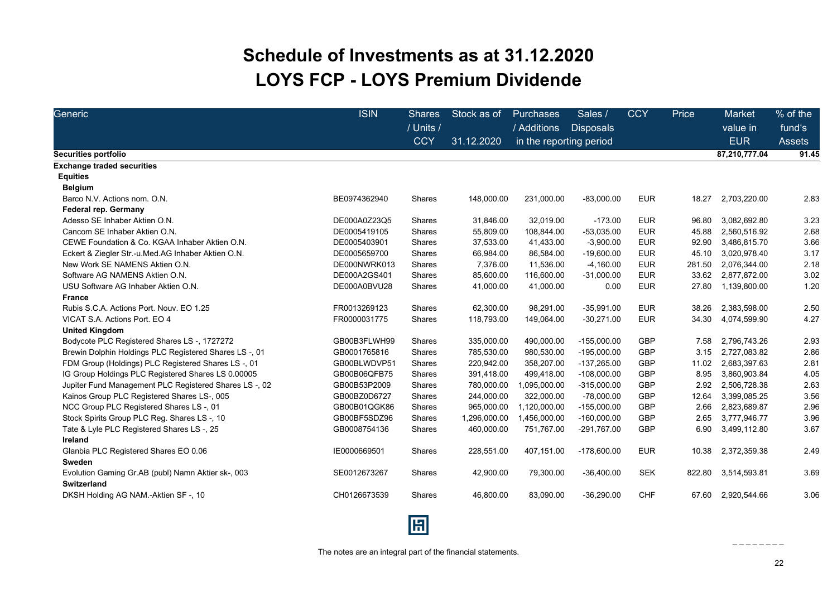## **Schedule of Investments as at 31.12.2020 LOYS FCP - LOYS Premium Dividende**

<span id="page-21-0"></span>

| Generic                                                                  | <b>ISIN</b>  | <b>Shares</b><br>/ Units / | Stock as of  | <b>Purchases</b><br>/ Additions | Sales /<br><b>Disposals</b> | <b>CCY</b> | Price  | <b>Market</b><br>value in | % of the<br>fund's |
|--------------------------------------------------------------------------|--------------|----------------------------|--------------|---------------------------------|-----------------------------|------------|--------|---------------------------|--------------------|
|                                                                          |              | <b>CCY</b>                 | 31.12.2020   | in the reporting period         |                             |            |        | <b>EUR</b>                | <b>Assets</b>      |
| Securities portfolio                                                     |              |                            |              |                                 |                             |            |        | 87,210,777.04             | 91.45              |
| <b>Exchange traded securities</b>                                        |              |                            |              |                                 |                             |            |        |                           |                    |
| <b>Equities</b>                                                          |              |                            |              |                                 |                             |            |        |                           |                    |
| <b>Belgium</b>                                                           |              |                            |              |                                 |                             |            |        |                           |                    |
| Barco N.V. Actions nom. O.N.                                             | BE0974362940 | Shares                     | 148,000.00   | 231,000.00                      | $-83,000.00$                | <b>EUR</b> | 18.27  | 2,703,220.00              | 2.83               |
| Federal rep. Germany                                                     |              |                            |              |                                 |                             |            |        |                           |                    |
| Adesso SE Inhaber Aktien O.N.                                            | DE000A0Z23Q5 | Shares                     | 31,846.00    | 32,019.00                       | $-173.00$                   | <b>EUR</b> | 96.80  | 3,082,692.80              | 3.23               |
| Cancom SE Inhaber Aktien O.N.                                            | DE0005419105 | <b>Shares</b>              | 55,809.00    | 108,844.00                      | $-53,035.00$                | <b>EUR</b> | 45.88  | 2,560,516.92              | 2.68               |
| CEWE Foundation & Co. KGAA Inhaber Aktien O.N.                           | DE0005403901 | Shares                     | 37,533.00    | 41,433.00                       | $-3,900.00$                 | <b>EUR</b> | 92.90  | 3,486,815.70              | 3.66               |
| Eckert & Ziegler Str.-u.Med.AG Inhaber Aktien O.N.                       | DE0005659700 | Shares                     | 66,984.00    | 86,584.00                       | $-19,600.00$                | <b>EUR</b> | 45.10  | 3,020,978.40              | 3.17               |
| New Work SE NAMENS Aktien O.N.                                           | DE000NWRK013 | Shares                     | 7,376.00     | 11,536.00                       | $-4,160.00$                 | <b>EUR</b> | 281.50 | 2,076,344.00              | 2.18               |
| Software AG NAMENS Aktien O.N.                                           | DE000A2GS401 | Shares                     | 85,600.00    | 116,600.00                      | $-31,000.00$                | <b>EUR</b> | 33.62  | 2,877,872.00              | 3.02               |
| USU Software AG Inhaber Aktien O.N.                                      | DE000A0BVU28 | Shares                     | 41,000.00    | 41,000.00                       | 0.00                        | <b>EUR</b> | 27.80  | 1,139,800.00              | 1.20               |
| <b>France</b>                                                            |              |                            |              |                                 |                             |            |        |                           |                    |
| Rubis S.C.A. Actions Port. Nouv. EO 1.25                                 | FR0013269123 | Shares                     | 62,300.00    | 98,291.00                       | $-35,991.00$                | <b>EUR</b> | 38.26  | 2,383,598.00              | 2.50               |
| VICAT S.A. Actions Port. EO 4                                            | FR0000031775 | Shares                     | 118,793.00   | 149,064.00                      | $-30,271.00$                | <b>EUR</b> | 34.30  | 4,074,599.90              | 4.27               |
| <b>United Kingdom</b>                                                    |              |                            |              |                                 |                             |            |        |                           |                    |
| Bodycote PLC Registered Shares LS -, 1727272                             | GB00B3FLWH99 | Shares                     | 335,000.00   | 490,000.00                      | $-155,000.00$               | GBP        | 7.58   | 2,796,743.26              | 2.93               |
| Brewin Dolphin Holdings PLC Registered Shares LS-, 01                    | GB0001765816 | <b>Shares</b>              | 785,530.00   | 980.530.00                      | $-195.000.00$               | GBP        | 3.15   | 2,727,083.82              | 2.86               |
| FDM Group (Holdings) PLC Registered Shares LS-, 01                       | GB00BLWDVP51 | Shares                     | 220,942.00   | 358,207.00                      | $-137,265.00$               | GBP        | 11.02  | 2,683,397.63              | 2.81               |
| IG Group Holdings PLC Registered Shares LS 0.00005                       | GB00B06QFB75 | Shares                     | 391,418.00   | 499,418.00                      | $-108,000.00$               | GBP        | 8.95   | 3,860,903.84              | 4.05               |
| Jupiter Fund Management PLC Registered Shares LS-, 02                    | GB00B53P2009 | Shares                     | 780,000.00   | 1,095,000.00                    | $-315,000.00$               | GBP        | 2.92   | 2,506,728.38              | 2.63               |
| Kainos Group PLC Registered Shares LS-, 005                              | GB00BZ0D6727 | <b>Shares</b>              | 244,000.00   | 322,000.00                      | $-78,000.00$                | GBP        | 12.64  | 3,399,085.25              | 3.56               |
| NCC Group PLC Registered Shares LS-, 01                                  | GB00B01QGK86 | Shares                     | 965,000.00   | 1,120,000.00                    | $-155,000.00$               | GBP        | 2.66   | 2,823,689.87              | 2.96               |
| Stock Spirits Group PLC Reg. Shares LS-, 10                              | GB00BF5SDZ96 | Shares                     | 1,296,000.00 | 1,456,000.00                    | $-160,000.00$               | GBP        | 2.65   | 3,777,946.77              | 3.96               |
| Tate & Lyle PLC Registered Shares LS-, 25                                | GB0008754136 | Shares                     | 460,000.00   | 751,767.00                      | -291,767.00                 | <b>GBP</b> | 6.90   | 3,499,112.80              | 3.67               |
| Ireland                                                                  |              |                            |              |                                 |                             |            |        |                           |                    |
| Glanbia PLC Registered Shares EO 0.06                                    | IE0000669501 | Shares                     | 228,551.00   | 407,151.00                      | $-178,600.00$               | <b>EUR</b> | 10.38  | 2,372,359.38              | 2.49               |
| Sweden                                                                   |              |                            |              |                                 |                             |            |        |                           |                    |
| Evolution Gaming Gr.AB (publ) Namn Aktier sk-, 003<br><b>Switzerland</b> | SE0012673267 | <b>Shares</b>              | 42,900.00    | 79,300.00                       | $-36,400.00$                | <b>SEK</b> | 822.80 | 3,514,593.81              | 3.69               |
| DKSH Holding AG NAM.-Aktien SF-, 10                                      | CH0126673539 | <b>Shares</b>              | 46,800.00    | 83,090.00                       | $-36,290.00$                | <b>CHF</b> | 67.60  | 2,920,544.66              | 3.06               |

圓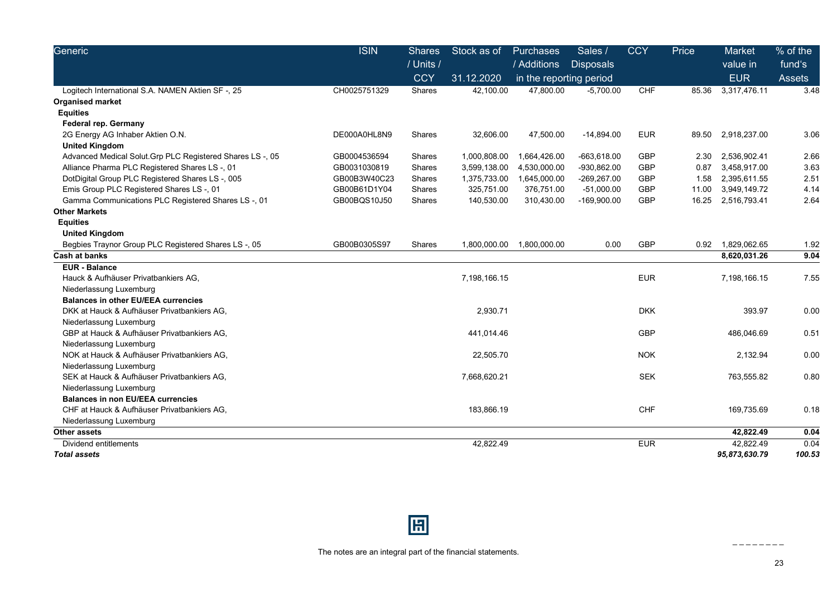| Generic                                                    | <b>ISIN</b>  | <b>Shares</b> | Stock as of  | <b>Purchases</b>        | Sales /          | <b>CCY</b> | Price | <b>Market</b> | % of the |
|------------------------------------------------------------|--------------|---------------|--------------|-------------------------|------------------|------------|-------|---------------|----------|
|                                                            |              | / Units /     |              | / Additions             | <b>Disposals</b> |            |       | value in      | fund's   |
|                                                            |              | <b>CCY</b>    | 31.12.2020   | in the reporting period |                  |            |       | <b>EUR</b>    | Assets   |
| Logitech International S.A. NAMEN Aktien SF -, 25          | CH0025751329 | <b>Shares</b> | 42,100.00    | 47,800.00               | $-5,700.00$      | <b>CHF</b> | 85.36 | 3,317,476.11  | 3.48     |
| <b>Organised market</b>                                    |              |               |              |                         |                  |            |       |               |          |
| <b>Equities</b>                                            |              |               |              |                         |                  |            |       |               |          |
| <b>Federal rep. Germany</b>                                |              |               |              |                         |                  |            |       |               |          |
| 2G Energy AG Inhaber Aktien O.N.                           | DE000A0HL8N9 | <b>Shares</b> | 32,606.00    | 47,500.00               | $-14,894.00$     | <b>EUR</b> | 89.50 | 2,918,237.00  | 3.06     |
| <b>United Kingdom</b>                                      |              |               |              |                         |                  |            |       |               |          |
| Advanced Medical Solut. Grp PLC Registered Shares LS -, 05 | GB0004536594 | Shares        | 1,000,808.00 | 1,664,426.00            | $-663,618.00$    | <b>GBP</b> | 2.30  | 2,536,902.41  | 2.66     |
| Alliance Pharma PLC Registered Shares LS -, 01             | GB0031030819 | Shares        | 3,599,138.00 | 4,530,000.00            | -930,862.00      | <b>GBP</b> | 0.87  | 3,458,917.00  | 3.63     |
| DotDigital Group PLC Registered Shares LS-, 005            | GB00B3W40C23 | <b>Shares</b> | 1,375,733.00 | 1,645,000.00            | -269,267.00      | <b>GBP</b> | 1.58  | 2,395,611.55  | 2.51     |
| Emis Group PLC Registered Shares LS-, 01                   | GB00B61D1Y04 | Shares        | 325,751.00   | 376,751.00              | $-51,000.00$     | <b>GBP</b> | 11.00 | 3,949,149.72  | 4.14     |
| Gamma Communications PLC Registered Shares LS-, 01         | GB00BQS10J50 | Shares        | 140,530.00   | 310,430.00              | $-169,900.00$    | <b>GBP</b> | 16.25 | 2,516,793.41  | 2.64     |
| <b>Other Markets</b>                                       |              |               |              |                         |                  |            |       |               |          |
| <b>Equities</b>                                            |              |               |              |                         |                  |            |       |               |          |
| <b>United Kingdom</b>                                      |              |               |              |                         |                  |            |       |               |          |
| Begbies Traynor Group PLC Registered Shares LS-, 05        | GB00B0305S97 | Shares        | 1,800,000.00 | 1,800,000.00            | 0.00             | <b>GBP</b> | 0.92  | 1,829,062.65  | 1.92     |
| <b>Cash at banks</b>                                       |              |               |              |                         |                  |            |       | 8,620,031.26  | 9.04     |
| <b>EUR - Balance</b>                                       |              |               |              |                         |                  |            |       |               |          |
| Hauck & Aufhäuser Privatbankiers AG,                       |              |               | 7,198,166.15 |                         |                  | <b>EUR</b> |       | 7,198,166.15  | 7.55     |
| Niederlassung Luxemburg                                    |              |               |              |                         |                  |            |       |               |          |
| <b>Balances in other EU/EEA currencies</b>                 |              |               |              |                         |                  |            |       |               |          |
| DKK at Hauck & Aufhäuser Privatbankiers AG,                |              |               | 2,930.71     |                         |                  | <b>DKK</b> |       | 393.97        | 0.00     |
| Niederlassung Luxemburg                                    |              |               |              |                         |                  |            |       |               |          |
| GBP at Hauck & Aufhäuser Privatbankiers AG,                |              |               | 441,014.46   |                         |                  | <b>GBP</b> |       | 486,046.69    | 0.51     |
| Niederlassung Luxemburg                                    |              |               |              |                         |                  |            |       |               |          |
| NOK at Hauck & Aufhäuser Privatbankiers AG,                |              |               | 22,505.70    |                         |                  | <b>NOK</b> |       | 2,132.94      | 0.00     |
| Niederlassung Luxemburg                                    |              |               |              |                         |                  |            |       |               |          |
| SEK at Hauck & Aufhäuser Privatbankiers AG.                |              |               | 7,668,620.21 |                         |                  | <b>SEK</b> |       | 763,555.82    | 0.80     |
| Niederlassung Luxemburg                                    |              |               |              |                         |                  |            |       |               |          |
| <b>Balances in non EU/EEA currencies</b>                   |              |               |              |                         |                  |            |       |               |          |
| CHF at Hauck & Aufhäuser Privatbankiers AG.                |              |               | 183,866.19   |                         |                  | <b>CHF</b> |       | 169,735.69    | 0.18     |
| Niederlassung Luxemburg                                    |              |               |              |                         |                  |            |       |               |          |
| <b>Other assets</b>                                        |              |               |              |                         |                  |            |       | 42,822.49     | 0.04     |
| Dividend entitlements                                      |              |               | 42,822.49    |                         |                  | <b>EUR</b> |       | 42,822.49     | 0.04     |
| <b>Total assets</b>                                        |              |               |              |                         |                  |            |       | 95,873,630.79 | 100.53   |



23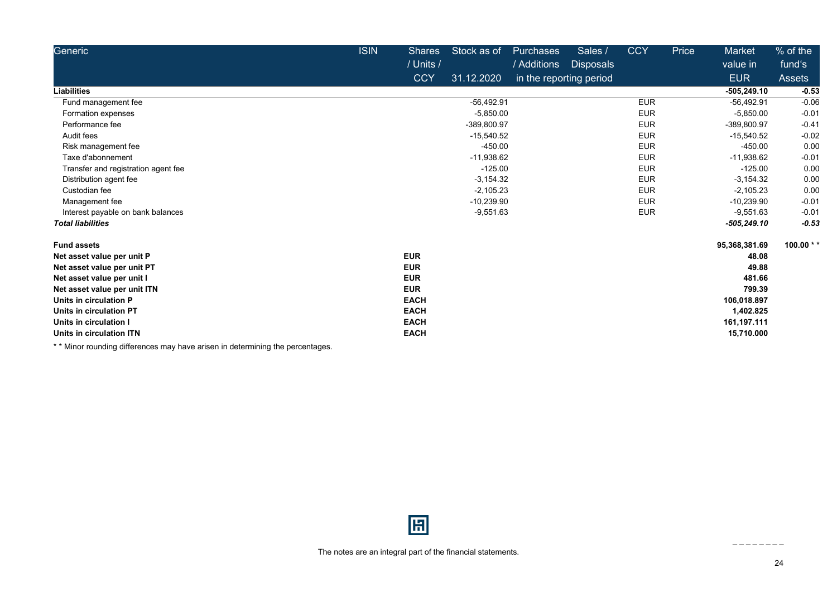| Generic                             | <b>ISIN</b> | <b>Shares</b> | Stock as of  | Purchases               | Sales /          | <b>CCY</b> | Price | Market        | % of the       |
|-------------------------------------|-------------|---------------|--------------|-------------------------|------------------|------------|-------|---------------|----------------|
|                                     |             | / Units /     |              | / Additions             | <b>Disposals</b> |            |       | value in      | fund's         |
|                                     |             | <b>CCY</b>    | 31.12.2020   | in the reporting period |                  |            |       | <b>EUR</b>    | Assets         |
| <b>Liabilities</b>                  |             |               |              |                         |                  |            |       | $-505,249.10$ | $-0.53$        |
| Fund management fee                 |             |               | $-56,492.91$ |                         |                  | <b>EUR</b> |       | $-56,492.91$  | $-0.06$        |
| Formation expenses                  |             |               | $-5,850.00$  |                         |                  | <b>EUR</b> |       | $-5,850.00$   | $-0.01$        |
| Performance fee                     |             |               | -389,800.97  |                         |                  | <b>EUR</b> |       | -389,800.97   | $-0.41$        |
| Audit fees                          |             |               | $-15,540.52$ |                         |                  | <b>EUR</b> |       | $-15,540.52$  | $-0.02$        |
| Risk management fee                 |             |               | $-450.00$    |                         |                  | <b>EUR</b> |       | $-450.00$     | 0.00           |
| Taxe d'abonnement                   |             |               | $-11,938.62$ |                         |                  | <b>EUR</b> |       | $-11,938.62$  | $-0.01$        |
| Transfer and registration agent fee |             |               | $-125.00$    |                         |                  | <b>EUR</b> |       | $-125.00$     | 0.00           |
| Distribution agent fee              |             |               | $-3,154.32$  |                         |                  | <b>EUR</b> |       | $-3,154.32$   | 0.00           |
| Custodian fee                       |             |               | $-2,105.23$  |                         |                  | <b>EUR</b> |       | $-2,105.23$   | 0.00           |
| Management fee                      |             |               | $-10,239.90$ |                         |                  | <b>EUR</b> |       | $-10,239.90$  | $-0.01$        |
| Interest payable on bank balances   |             |               | $-9,551.63$  |                         |                  | <b>EUR</b> |       | $-9,551.63$   | $-0.01$        |
| <b>Total liabilities</b>            |             |               |              |                         |                  |            |       | $-505,249.10$ | $-0.53$        |
| <b>Fund assets</b>                  |             |               |              |                         |                  |            |       | 95,368,381.69 | 100.00 $*$ $*$ |
| Net asset value per unit P          |             | <b>EUR</b>    |              |                         |                  |            |       | 48.08         |                |
| Net asset value per unit PT         |             | <b>EUR</b>    |              |                         |                  |            |       | 49.88         |                |
| Net asset value per unit I          |             | <b>EUR</b>    |              |                         |                  |            |       | 481.66        |                |
| Net asset value per unit ITN        |             | <b>EUR</b>    |              |                         |                  |            |       | 799.39        |                |
| Units in circulation P              |             | <b>EACH</b>   |              |                         |                  |            |       | 106,018.897   |                |
| Units in circulation PT             |             | <b>EACH</b>   |              |                         |                  |            |       | 1,402.825     |                |
| Units in circulation I              |             | <b>EACH</b>   |              |                         |                  |            |       | 161,197.111   |                |
| Units in circulation ITN            |             | <b>EACH</b>   |              |                         |                  |            |       | 15,710.000    |                |

\* \* Minor rounding differences may have arisen in determining the percentages.

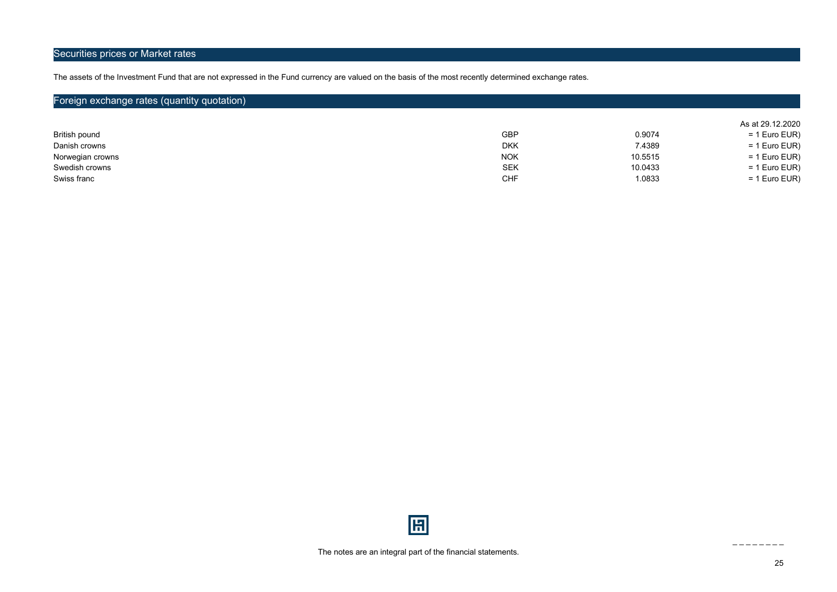### Securities prices or Market rates

The assets of the Investment Fund that are not expressed in the Fund currency are valued on the basis of the most recently determined exchange rates.

## Foreign exchange rates (quantity quotation)

|                  |            |         | As at 29.12.2020 |
|------------------|------------|---------|------------------|
| British pound    | <b>GBP</b> | 0.9074  | $= 1$ Euro EUR)  |
| Danish crowns    | <b>DKK</b> | 7.4389  | $= 1$ Euro EUR)  |
| Norwegian crowns | <b>NOK</b> | 10.5515 | $= 1$ Euro EUR)  |
| Swedish crowns   | SEK        | 10.0433 | $= 1$ Euro EUR)  |
| Swiss franc      | CHF        | 1.0833  | $= 1$ Euro EUR)  |

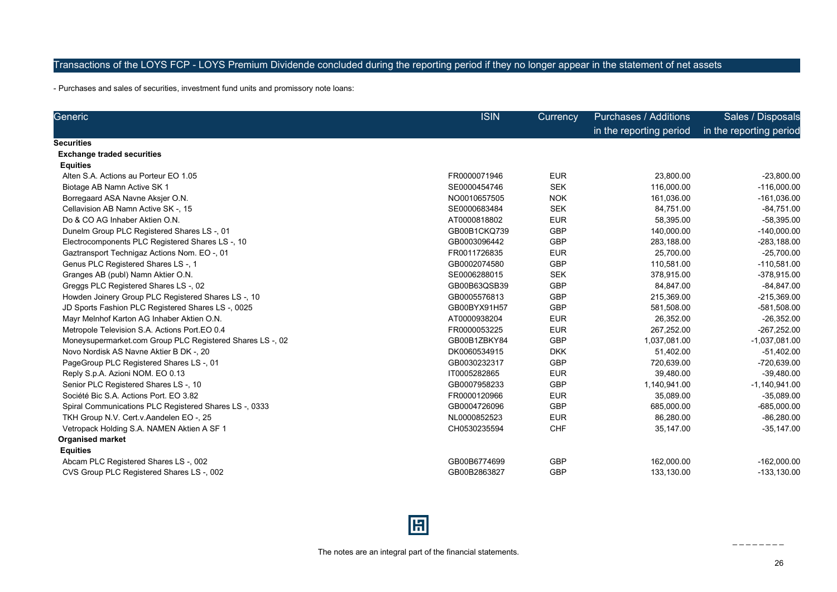### Transactions of the LOYS FCP - LOYS Premium Dividende concluded during the reporting period if they no longer appear in the statement of net assets

- Purchases and sales of securities, investment fund units and promissory note loans:

| Generic                                                   | <b>ISIN</b>  | <b>Currency</b> | <b>Purchases / Additions</b> | Sales / Disposals       |
|-----------------------------------------------------------|--------------|-----------------|------------------------------|-------------------------|
|                                                           |              |                 | in the reporting period      | in the reporting period |
| Securities                                                |              |                 |                              |                         |
| <b>Exchange traded securities</b>                         |              |                 |                              |                         |
| <b>Equities</b>                                           |              |                 |                              |                         |
| Alten S.A. Actions au Porteur EO 1.05                     | FR0000071946 | <b>EUR</b>      | 23,800.00                    | $-23,800.00$            |
| Biotage AB Namn Active SK 1                               | SE0000454746 | <b>SEK</b>      | 116,000.00                   | $-116,000.00$           |
| Borregaard ASA Navne Aksjer O.N.                          | NO0010657505 | <b>NOK</b>      | 161,036.00                   | $-161,036.00$           |
| Cellavision AB Namn Active SK -, 15                       | SE0000683484 | <b>SEK</b>      | 84,751.00                    | $-84,751.00$            |
| Do & CO AG Inhaber Aktien O.N.                            | AT0000818802 | <b>EUR</b>      | 58,395.00                    | $-58,395.00$            |
| Dunelm Group PLC Registered Shares LS-, 01                | GB00B1CKQ739 | <b>GBP</b>      | 140,000.00                   | $-140,000.00$           |
| Electrocomponents PLC Registered Shares LS-, 10           | GB0003096442 | <b>GBP</b>      | 283,188.00                   | $-283, 188.00$          |
| Gaztransport Technigaz Actions Nom. EO -, 01              | FR0011726835 | <b>EUR</b>      | 25,700.00                    | $-25,700.00$            |
| Genus PLC Registered Shares LS-, 1                        | GB0002074580 | <b>GBP</b>      | 110,581.00                   | $-110,581.00$           |
| Granges AB (publ) Namn Aktier O.N.                        | SE0006288015 | <b>SEK</b>      | 378,915.00                   | -378,915.00             |
| Greggs PLC Registered Shares LS-, 02                      | GB00B63QSB39 | <b>GBP</b>      | 84,847.00                    | $-84, 847.00$           |
| Howden Joinery Group PLC Registered Shares LS -, 10       | GB0005576813 | <b>GBP</b>      | 215,369.00                   | $-215,369.00$           |
| JD Sports Fashion PLC Registered Shares LS -, 0025        | GB00BYX91H57 | <b>GBP</b>      | 581,508.00                   | $-581,508.00$           |
| Mayr Melnhof Karton AG Inhaber Aktien O.N.                | AT0000938204 | <b>EUR</b>      | 26,352.00                    | $-26,352.00$            |
| Metropole Television S.A. Actions Port.EO 0.4             | FR0000053225 | <b>EUR</b>      | 267,252.00                   | $-267,252.00$           |
| Moneysupermarket.com Group PLC Registered Shares LS -, 02 | GB00B1ZBKY84 | <b>GBP</b>      | 1,037,081.00                 | $-1,037,081.00$         |
| Novo Nordisk AS Navne Aktier B DK -, 20                   | DK0060534915 | <b>DKK</b>      | 51,402.00                    | $-51,402.00$            |
| PageGroup PLC Registered Shares LS-, 01                   | GB0030232317 | GBP             | 720,639.00                   | -720,639.00             |
| Reply S.p.A. Azioni NOM. EO 0.13                          | IT0005282865 | <b>EUR</b>      | 39,480.00                    | $-39,480.00$            |
| Senior PLC Registered Shares LS -, 10                     | GB0007958233 | <b>GBP</b>      | 1,140,941.00                 | $-1,140,941.00$         |
| Société Bic S.A. Actions Port. EO 3.82                    | FR0000120966 | <b>EUR</b>      | 35,089.00                    | $-35,089.00$            |
| Spiral Communications PLC Registered Shares LS -, 0333    | GB0004726096 | <b>GBP</b>      | 685,000.00                   | $-685,000.00$           |
| TKH Group N.V. Cert.v. Aandelen EO -, 25                  | NL0000852523 | <b>EUR</b>      | 86,280.00                    | $-86,280.00$            |
| Vetropack Holding S.A. NAMEN Aktien A SF 1                | CH0530235594 | <b>CHF</b>      | 35,147.00                    | $-35, 147.00$           |
| <b>Organised market</b>                                   |              |                 |                              |                         |
| <b>Equities</b>                                           |              |                 |                              |                         |
| Abcam PLC Registered Shares LS-, 002                      | GB00B6774699 | <b>GBP</b>      | 162,000.00                   | $-162,000.00$           |
| CVS Group PLC Registered Shares LS -, 002                 | GB00B2863827 | <b>GBP</b>      | 133.130.00                   | $-133, 130.00$          |

## 圓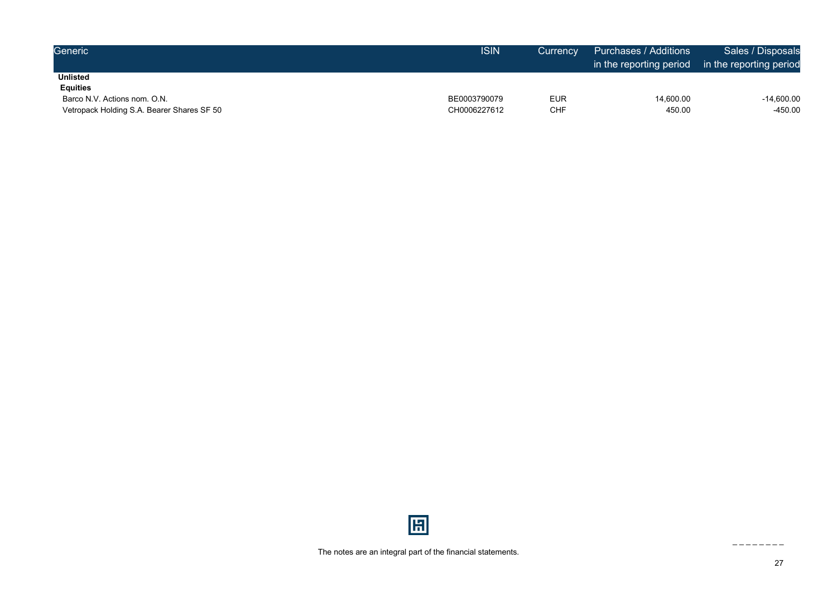| Generic                                    | <b>ISIN</b>  | Currency   | Purchases / Additions<br>in the reporting period in the reporting period | Sales / Disposals |
|--------------------------------------------|--------------|------------|--------------------------------------------------------------------------|-------------------|
| <b>Unlisted</b>                            |              |            |                                                                          |                   |
| <b>Equities</b>                            |              |            |                                                                          |                   |
| Barco N.V. Actions nom. O.N.               | BE0003790079 | <b>EUR</b> | 14,600.00                                                                | -14,600.00        |
| Vetropack Holding S.A. Bearer Shares SF 50 | CH0006227612 | CHF        | 450.00                                                                   | -450.00           |

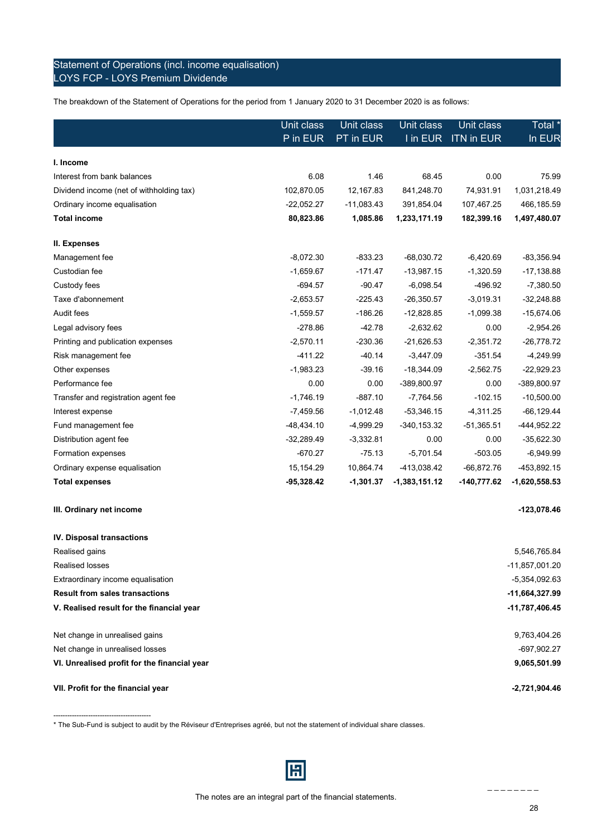### Statement of Operations (incl. income equalisation) LOYS FCP - LOYS Premium Dividende

The breakdown of the Statement of Operations for the period from 1 January 2020 to 31 December 2020 is as follows:

|                                          | Unit class   | Unit class   | Unit class      | Unit class        | Total *         |
|------------------------------------------|--------------|--------------|-----------------|-------------------|-----------------|
|                                          | P in EUR     | PT in EUR    | I in EUR        | <b>ITN in EUR</b> | In EUR          |
| I. Income                                |              |              |                 |                   |                 |
|                                          | 6.08         | 1.46         | 68.45           | 0.00              | 75.99           |
| Interest from bank balances              |              |              |                 |                   |                 |
| Dividend income (net of withholding tax) | 102,870.05   | 12,167.83    | 841,248.70      | 74,931.91         | 1,031,218.49    |
| Ordinary income equalisation             | $-22,052.27$ | $-11,083.43$ | 391,854.04      | 107,467.25        | 466,185.59      |
| <b>Total income</b>                      | 80,823.86    | 1,085.86     | 1,233,171.19    | 182,399.16        | 1,497,480.07    |
| II. Expenses                             |              |              |                 |                   |                 |
| Management fee                           | $-8,072.30$  | $-833.23$    | $-68,030.72$    | $-6,420.69$       | $-83,356.94$    |
| Custodian fee                            | $-1,659.67$  | $-171.47$    | $-13,987.15$    | $-1,320.59$       | $-17,138.88$    |
| Custody fees                             | $-694.57$    | $-90.47$     | $-6,098.54$     | $-496.92$         | $-7,380.50$     |
| Taxe d'abonnement                        | $-2,653.57$  | $-225.43$    | $-26,350.57$    | $-3,019.31$       | $-32,248.88$    |
| Audit fees                               | $-1,559.57$  | $-186.26$    | $-12,828.85$    | $-1,099.38$       | $-15,674.06$    |
| Legal advisory fees                      | $-278.86$    | $-42.78$     | $-2,632.62$     | 0.00              | $-2,954.26$     |
| Printing and publication expenses        | $-2,570.11$  | $-230.36$    | $-21,626.53$    | $-2,351.72$       | $-26,778.72$    |
| Risk management fee                      | $-411.22$    | $-40.14$     | $-3,447.09$     | $-351.54$         | $-4,249.99$     |
| Other expenses                           | $-1,983.23$  | $-39.16$     | $-18,344.09$    | $-2,562.75$       | $-22,929.23$    |
| Performance fee                          | 0.00         | 0.00         | -389,800.97     | 0.00              | -389,800.97     |
| Transfer and registration agent fee      | $-1,746.19$  | $-887.10$    | $-7,764.56$     | $-102.15$         | $-10,500.00$    |
| Interest expense                         | $-7,459.56$  | $-1,012.48$  | $-53,346.15$    | $-4,311.25$       | $-66, 129.44$   |
| Fund management fee                      | $-48,434.10$ | $-4,999.29$  | $-340, 153.32$  | $-51,365.51$      | -444,952.22     |
| Distribution agent fee                   | $-32,289.49$ | $-3,332.81$  | 0.00            | 0.00              | $-35,622.30$    |
| Formation expenses                       | $-670.27$    | $-75.13$     | $-5,701.54$     | $-503.05$         | $-6,949.99$     |
| Ordinary expense equalisation            | 15,154.29    | 10,864.74    | -413,038.42     | $-66,872.76$      | -453,892.15     |
| <b>Total expenses</b>                    | $-95,328.42$ | $-1,301.37$  | $-1,383,151.12$ | $-140,777.62$     | $-1,620,558.53$ |
| III. Ordinary net income                 |              |              |                 |                   | $-123,078.46$   |

| IV. Disposal transactions                    |                 |
|----------------------------------------------|-----------------|
| Realised gains                               | 5,546,765.84    |
| Realised losses                              | -11,857,001.20  |
| Extraordinary income equalisation            | -5,354,092.63   |
| <b>Result from sales transactions</b>        | -11,664,327.99  |
| V. Realised result for the financial year    | -11,787,406.45  |
| Net change in unrealised gains               | 9,763,404.26    |
| Net change in unrealised losses              | -697,902.27     |
| VI. Unrealised profit for the financial year | 9,065,501.99    |
| VII. Profit for the financial year           | $-2,721,904.46$ |

\* The Sub-Fund is subject to audit by the Réviseur d'Entreprises agréé, but not the statement of individual share classes.

------------------------------------------

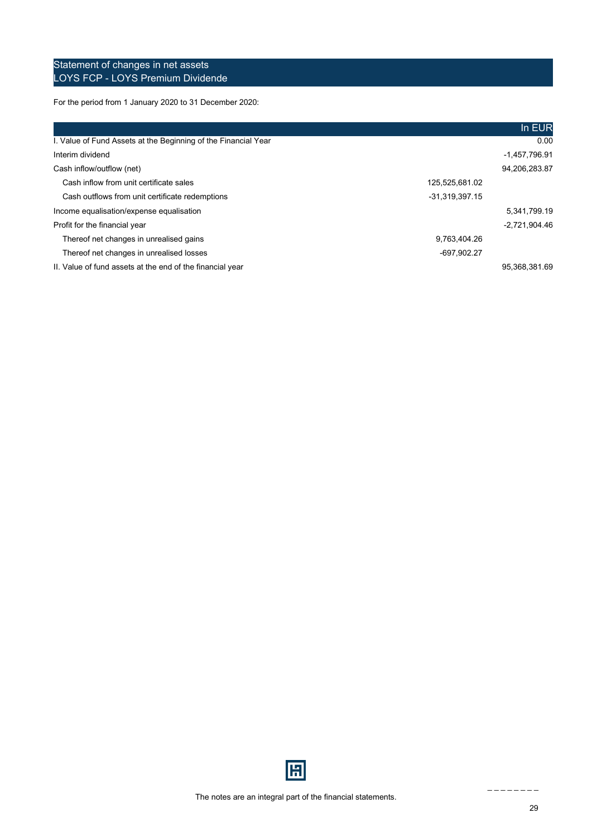### Statement of changes in net assets LOYS FCP - LOYS Premium Dividende

For the period from 1 January 2020 to 31 December 2020:

|                                                                |                | In EUR          |
|----------------------------------------------------------------|----------------|-----------------|
| I. Value of Fund Assets at the Beginning of the Financial Year |                | 0.00            |
| Interim dividend                                               |                | -1,457,796.91   |
| Cash inflow/outflow (net)                                      |                | 94,206,283.87   |
| Cash inflow from unit certificate sales                        | 125,525,681.02 |                 |
| Cash outflows from unit certificate redemptions                | -31,319,397.15 |                 |
| Income equalisation/expense equalisation                       |                | 5,341,799.19    |
| Profit for the financial year                                  |                | $-2,721,904.46$ |
| Thereof net changes in unrealised gains                        | 9,763,404.26   |                 |
| Thereof net changes in unrealised losses                       | -697,902.27    |                 |
| II. Value of fund assets at the end of the financial year      |                | 95.368.381.69   |

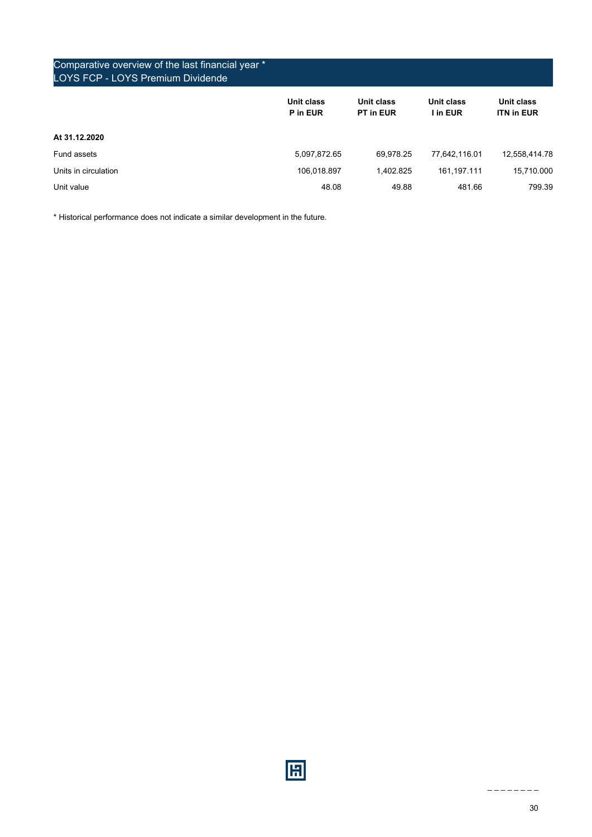| Comparative overview of the last financial year *<br><b>LOYS FCP - LOYS Premium Dividende</b> |                        |                         |                        |                                 |
|-----------------------------------------------------------------------------------------------|------------------------|-------------------------|------------------------|---------------------------------|
|                                                                                               | Unit class<br>P in EUR | Unit class<br>PT in EUR | Unit class<br>I in EUR | Unit class<br><b>ITN in EUR</b> |
| At 31.12.2020                                                                                 |                        |                         |                        |                                 |
| Fund assets                                                                                   | 5,097,872.65           | 69.978.25               | 77.642.116.01          | 12,558,414.78                   |
| Units in circulation                                                                          | 106,018.897            | 1.402.825               | 161.197.111            | 15,710.000                      |
| Unit value                                                                                    | 48.08                  | 49.88                   | 481.66                 | 799.39                          |

\* Historical performance does not indicate a similar development in the future.

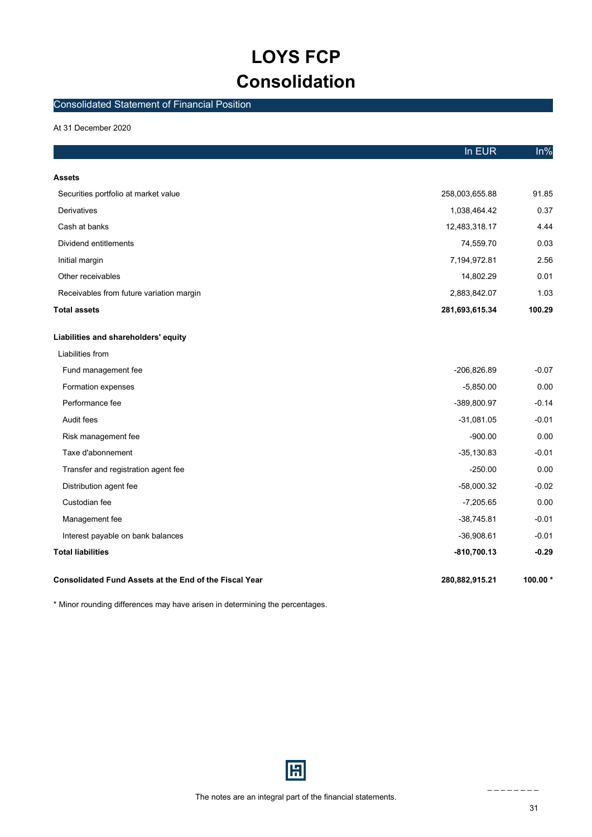## **LOYS FCP Consolidation**

### <span id="page-30-0"></span>Consolidated Statement of Financial Position

At 31 December 2020

|                                                        | In EUR         | $ln\%$     |
|--------------------------------------------------------|----------------|------------|
| Assets                                                 |                |            |
| Securities portfolio at market value                   | 258,003,655.88 | 91.85      |
|                                                        |                | 0.37       |
| Derivatives                                            | 1,038,464.42   |            |
| Cash at banks                                          | 12,483,318.17  | 4.44       |
| Dividend entitlements                                  | 74,559.70      | 0.03       |
| Initial margin                                         | 7,194,972.81   | 2.56       |
| Other receivables                                      | 14,802.29      | 0.01       |
| Receivables from future variation margin               | 2,883,842.07   | 1.03       |
| <b>Total assets</b>                                    | 281,693,615.34 | 100.29     |
| Liabilities and shareholders' equity                   |                |            |
| Liabilities from                                       |                |            |
| Fund management fee                                    | -206,826.89    | $-0.07$    |
| Formation expenses                                     | $-5,850.00$    | 0.00       |
| Performance fee                                        | -389,800.97    | $-0.14$    |
| Audit fees                                             | $-31,081.05$   | $-0.01$    |
| Risk management fee                                    | $-900.00$      | 0.00       |
| Taxe d'abonnement                                      | $-35,130.83$   | $-0.01$    |
| Transfer and registration agent fee                    | $-250.00$      | 0.00       |
| Distribution agent fee                                 | $-58,000.32$   | $-0.02$    |
| Custodian fee                                          | $-7,205.65$    | 0.00       |
| Management fee                                         | $-38,745.81$   | $-0.01$    |
| Interest payable on bank balances                      | $-36,908.61$   | $-0.01$    |
| <b>Total liabilities</b>                               | -810,700.13    | $-0.29$    |
| Consolidated Fund Assets at the End of the Fiscal Year | 280,882,915.21 | 100.00 $*$ |

\* Minor rounding differences may have arisen in determining the percentages.

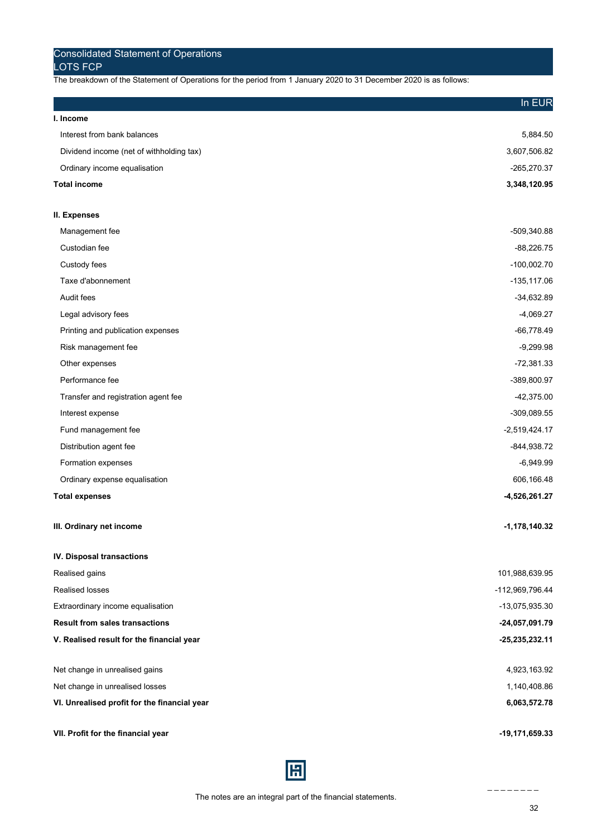The breakdown of the Statement of Operations for the period from 1 January 2020 to 31 December 2020 is as follows:

|                                              | In EUR           |
|----------------------------------------------|------------------|
| I. Income                                    |                  |
| Interest from bank balances                  | 5,884.50         |
| Dividend income (net of withholding tax)     | 3,607,506.82     |
| Ordinary income equalisation                 | -265,270.37      |
| <b>Total income</b>                          | 3,348,120.95     |
| II. Expenses                                 |                  |
| Management fee                               | -509,340.88      |
| Custodian fee                                | $-88,226.75$     |
| Custody fees                                 | $-100,002.70$    |
| Taxe d'abonnement                            | $-135, 117.06$   |
| Audit fees                                   | $-34,632.89$     |
| Legal advisory fees                          | $-4,069.27$      |
| Printing and publication expenses            | $-66,778.49$     |
| Risk management fee                          | $-9,299.98$      |
| Other expenses                               | $-72,381.33$     |
| Performance fee                              | -389,800.97      |
| Transfer and registration agent fee          | -42,375.00       |
| Interest expense                             | -309,089.55      |
| Fund management fee                          | $-2,519,424.17$  |
| Distribution agent fee                       | -844,938.72      |
| Formation expenses                           | $-6,949.99$      |
| Ordinary expense equalisation                | 606,166.48       |
| <b>Total expenses</b>                        | -4,526,261.27    |
| III. Ordinary net income                     | $-1,178,140.32$  |
| IV. Disposal transactions                    |                  |
| Realised gains                               | 101,988,639.95   |
| Realised losses                              | -112,969,796.44  |
| Extraordinary income equalisation            | -13,075,935.30   |
| <b>Result from sales transactions</b>        | -24,057,091.79   |
| V. Realised result for the financial year    | $-25,235,232.11$ |
| Net change in unrealised gains               | 4,923,163.92     |
| Net change in unrealised losses              | 1,140,408.86     |
| VI. Unrealised profit for the financial year | 6,063,572.78     |
| VII. Profit for the financial year           | -19,171,659.33   |

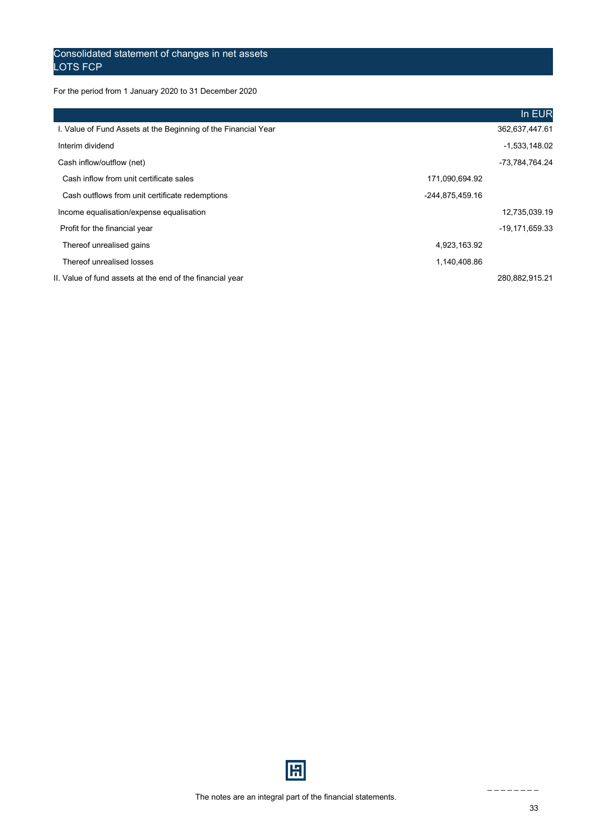### Consolidated statement of changes in net assets LOTS FCP

For the period from 1 January 2020 to 31 December 2020

|                                                                |                 | In EUR          |
|----------------------------------------------------------------|-----------------|-----------------|
| I. Value of Fund Assets at the Beginning of the Financial Year |                 | 362,637,447.61  |
| Interim dividend                                               |                 | $-1,533,148.02$ |
| Cash inflow/outflow (net)                                      |                 | -73.784.764.24  |
| Cash inflow from unit certificate sales                        | 171,090,694.92  |                 |
| Cash outflows from unit certificate redemptions                | -244,875,459.16 |                 |
| Income equalisation/expense equalisation                       |                 | 12,735,039.19   |
| Profit for the financial year                                  |                 | -19,171,659.33  |
| Thereof unrealised gains                                       | 4,923,163.92    |                 |
| Thereof unrealised losses                                      | 1,140,408.86    |                 |
| II. Value of fund assets at the end of the financial year      |                 | 280,882,915.21  |

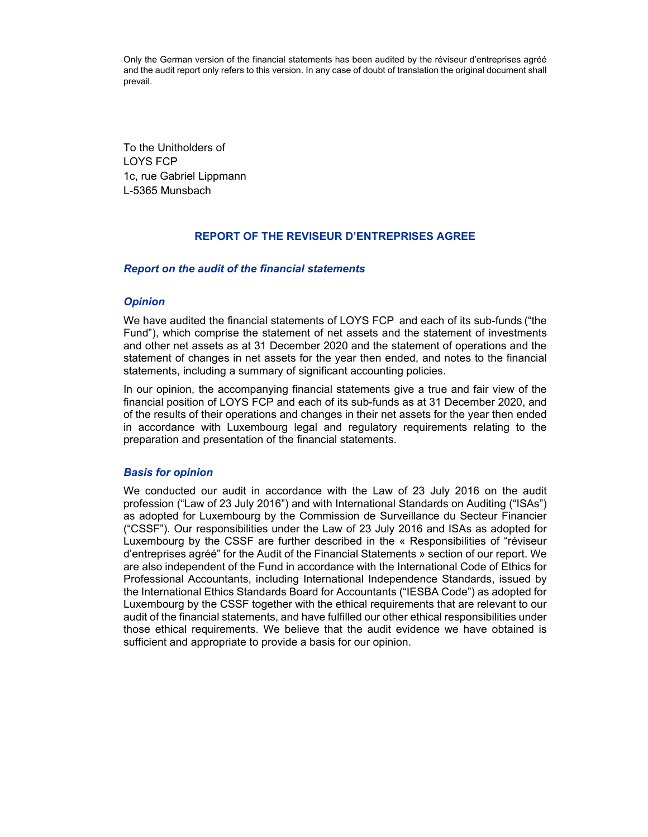<span id="page-33-0"></span>Only the German version of the financial statements has been audited by the réviseur d'entreprises agréé and the audit report only refers to this version. In any case of doubt of translation the original document shall prevail.

To the Unitholders of LOYS FCP 1c, rue Gabriel Lippmann L-5365 Munsbach

#### **REPORT OF THE REVISEUR D'ENTREPRISES AGREE**

#### *Report on the audit of the financial statements*

#### *Opinion*

We have audited the financial statements of LOYS FCP and each of its sub-funds ("the Fund"), which comprise the statement of net assets and the statement of investments and other net assets as at 31 December 2020 and the statement of operations and the statement of changes in net assets for the year then ended, and notes to the financial statements, including a summary of significant accounting policies.

In our opinion, the accompanying financial statements give a true and fair view of the financial position of LOYS FCP and each of its sub-funds as at 31 December 2020, and of the results of their operations and changes in their net assets for the year then ended in accordance with Luxembourg legal and regulatory requirements relating to the preparation and presentation of the financial statements.

#### *Basis for opinion*

We conducted our audit in accordance with the Law of 23 July 2016 on the audit profession ("Law of 23 July 2016") and with International Standards on Auditing ("ISAs") as adopted for Luxembourg by the Commission de Surveillance du Secteur Financier ("CSSF"). Our responsibilities under the Law of 23 July 2016 and ISAs as adopted for Luxembourg by the CSSF are further described in the « Responsibilities of "réviseur d'entreprises agréé" for the Audit of the Financial Statements » section of our report. We are also independent of the Fund in accordance with the International Code of Ethics for Professional Accountants, including International Independence Standards, issued by the International Ethics Standards Board for Accountants ("IESBA Code") as adopted for Luxembourg by the CSSF together with the ethical requirements that are relevant to our audit of the financial statements, and have fulfilled our other ethical responsibilities under those ethical requirements. We believe that the audit evidence we have obtained is sufficient and appropriate to provide a basis for our opinion.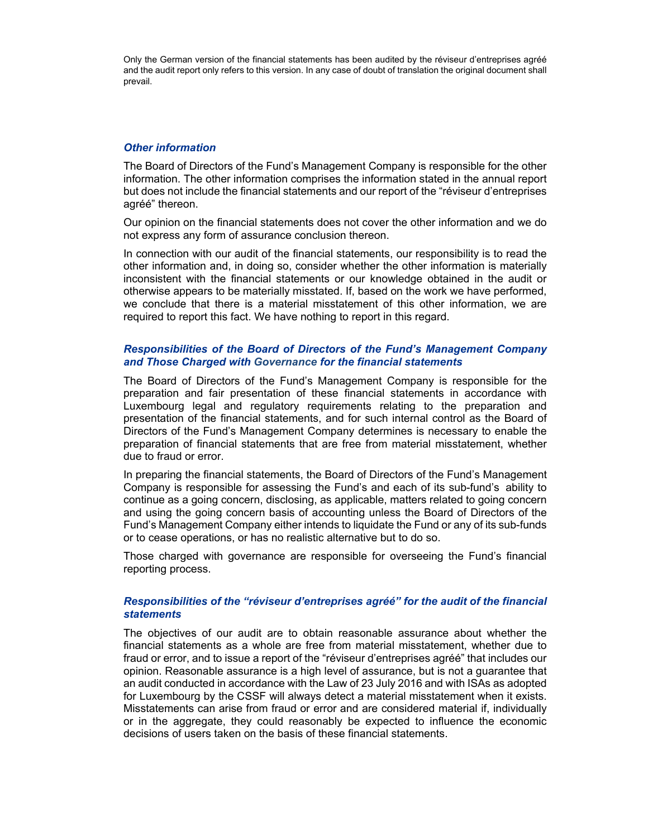Only the German version of the financial statements has been audited by the réviseur d'entreprises agréé and the audit report only refers to this version. In any case of doubt of translation the original document shall prevail.

#### *Other information*

The Board of Directors of the Fund's Management Company is responsible for the other information. The other information comprises the information stated in the annual report but does not include the financial statements and our report of the "réviseur d'entreprises agréé" thereon.

Our opinion on the financial statements does not cover the other information and we do not express any form of assurance conclusion thereon.

In connection with our audit of the financial statements, our responsibility is to read the other information and, in doing so, consider whether the other information is materially inconsistent with the financial statements or our knowledge obtained in the audit or otherwise appears to be materially misstated. If, based on the work we have performed, we conclude that there is a material misstatement of this other information, we are required to report this fact. We have nothing to report in this regard.

#### *Responsibilities of the Board of Directors of the Fund's Management Company and Those Charged with Governance for the financial statements*

The Board of Directors of the Fund's Management Company is responsible for the preparation and fair presentation of these financial statements in accordance with Luxembourg legal and regulatory requirements relating to the preparation and presentation of the financial statements, and for such internal control as the Board of Directors of the Fund's Management Company determines is necessary to enable the preparation of financial statements that are free from material misstatement, whether due to fraud or error.

In preparing the financial statements, the Board of Directors of the Fund's Management Company is responsible for assessing the Fund's and each of its sub-fund's ability to continue as a going concern, disclosing, as applicable, matters related to going concern and using the going concern basis of accounting unless the Board of Directors of the Fund's Management Company either intends to liquidate the Fund or any of its sub-funds or to cease operations, or has no realistic alternative but to do so.

Those charged with governance are responsible for overseeing the Fund's financial reporting process.

#### *Responsibilities of the "réviseur d'entreprises agréé" for the audit of the financial statements*

The objectives of our audit are to obtain reasonable assurance about whether the financial statements as a whole are free from material misstatement, whether due to fraud or error, and to issue a report of the "réviseur d'entreprises agréé" that includes our opinion. Reasonable assurance is a high level of assurance, but is not a guarantee that an audit conducted in accordance with the Law of 23 July 2016 and with ISAs as adopted for Luxembourg by the CSSF will always detect a material misstatement when it exists. Misstatements can arise from fraud or error and are considered material if, individually or in the aggregate, they could reasonably be expected to influence the economic decisions of users taken on the basis of these financial statements.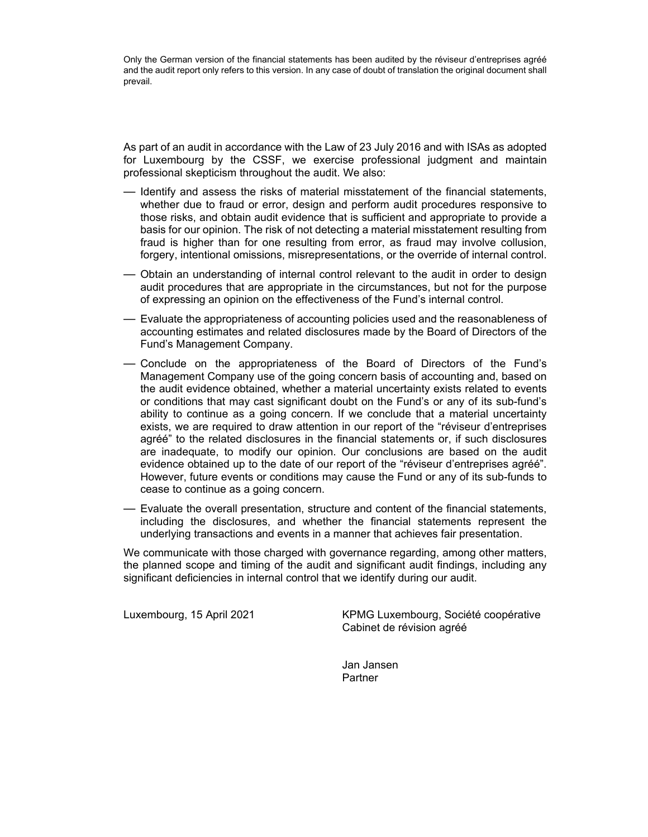Only the German version of the financial statements has been audited by the réviseur d'entreprises agréé and the audit report only refers to this version. In any case of doubt of translation the original document shall prevail.

As part of an audit in accordance with the Law of 23 July 2016 and with ISAs as adopted for Luxembourg by the CSSF, we exercise professional judgment and maintain professional skepticism throughout the audit. We also:

- Identify and assess the risks of material misstatement of the financial statements, whether due to fraud or error, design and perform audit procedures responsive to those risks, and obtain audit evidence that is sufficient and appropriate to provide a basis for our opinion. The risk of not detecting a material misstatement resulting from fraud is higher than for one resulting from error, as fraud may involve collusion, forgery, intentional omissions, misrepresentations, or the override of internal control.
- Obtain an understanding of internal control relevant to the audit in order to design audit procedures that are appropriate in the circumstances, but not for the purpose of expressing an opinion on the effectiveness of the Fund's internal control.
- Evaluate the appropriateness of accounting policies used and the reasonableness of accounting estimates and related disclosures made by the Board of Directors of the Fund's Management Company.
- Conclude on the appropriateness of the Board of Directors of the Fund's Management Company use of the going concern basis of accounting and, based on the audit evidence obtained, whether a material uncertainty exists related to events or conditions that may cast significant doubt on the Fund's or any of its sub-fund's ability to continue as a going concern. If we conclude that a material uncertainty exists, we are required to draw attention in our report of the "réviseur d'entreprises agréé" to the related disclosures in the financial statements or, if such disclosures are inadequate, to modify our opinion. Our conclusions are based on the audit evidence obtained up to the date of our report of the "réviseur d'entreprises agréé". However, future events or conditions may cause the Fund or any of its sub-funds to cease to continue as a going concern.
- Evaluate the overall presentation, structure and content of the financial statements, including the disclosures, and whether the financial statements represent the underlying transactions and events in a manner that achieves fair presentation.

We communicate with those charged with governance regarding, among other matters, the planned scope and timing of the audit and significant audit findings, including any significant deficiencies in internal control that we identify during our audit.

Luxembourg, 15 April 2021 KPMG Luxembourg, Société coopérative Cabinet de révision agréé

> Jan Jansen Partner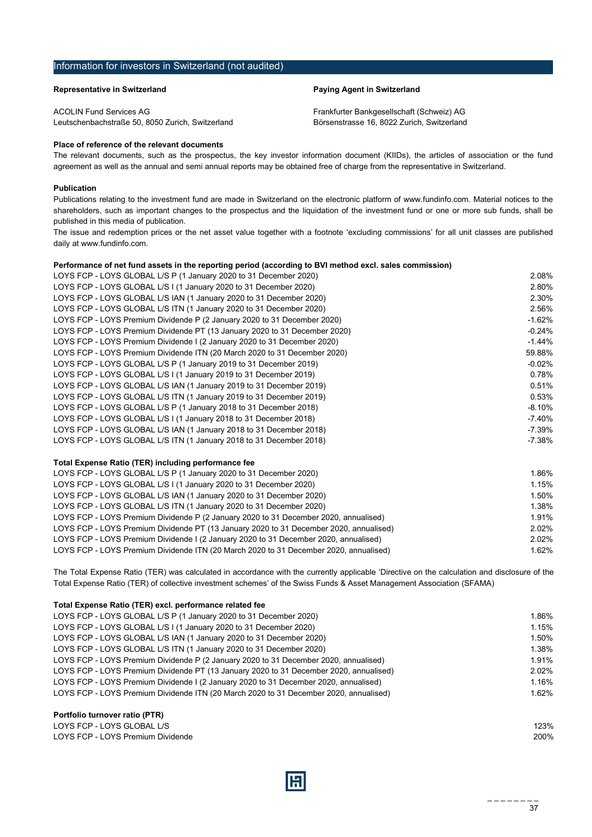#### <span id="page-36-0"></span>Information for investors in Switzerland (not audited)

ACOLIN Fund Services AG Frankfurter Bankgesellschaft (Schweiz) AG Leutschenbachstraße 50, 8050 Zurich, Switzerland Börsenstrasse 16, 8022 Zurich, Switzerland

#### **Representative in Switzerland Paying Agent in Switzerland**

#### **Place of reference of the relevant documents**

The relevant documents, such as the prospectus, the key investor information document (KIIDs), the articles of association or the fund agreement as well as the annual and semi annual reports may be obtained free of charge from the representative in Switzerland.

#### **Publication**

Publications relating to the investment fund are made in Switzerland on the electronic platform of www.fundinfo.com. Material notices to the shareholders, such as important changes to the prospectus and the liquidation of the investment fund or one or more sub funds, shall be published in this media of publication.

The issue and redemption prices or the net asset value together with a footnote 'excluding commissions' for all unit classes are published daily at www.fundinfo.com.

#### **Performance of net fund assets in the reporting period (according to BVI method excl. sales commission)**

| LOYS FCP - LOYS GLOBAL L/S P (1 January 2020 to 31 December 2020)          | 2.08%     |
|----------------------------------------------------------------------------|-----------|
| LOYS FCP - LOYS GLOBAL L/S I (1 January 2020 to 31 December 2020)          | 2.80%     |
| LOYS FCP - LOYS GLOBAL L/S IAN (1 January 2020 to 31 December 2020)        | 2.30%     |
| LOYS FCP - LOYS GLOBAL L/S ITN (1 January 2020 to 31 December 2020)        | 2.56%     |
| LOYS FCP - LOYS Premium Dividende P (2 January 2020 to 31 December 2020)   | $-1.62%$  |
| LOYS FCP - LOYS Premium Dividende PT (13 January 2020 to 31 December 2020) | $-0.24%$  |
| LOYS FCP - LOYS Premium Dividende I (2 January 2020 to 31 December 2020)   | $-1.44\%$ |
| LOYS FCP - LOYS Premium Dividende ITN (20 March 2020 to 31 December 2020)  | 59.88%    |
| LOYS FCP - LOYS GLOBAL L/S P (1 January 2019 to 31 December 2019)          | $-0.02\%$ |
| LOYS FCP - LOYS GLOBAL L/S I (1 January 2019 to 31 December 2019)          | $0.78\%$  |
| LOYS FCP - LOYS GLOBAL L/S IAN (1 January 2019 to 31 December 2019)        | 0.51%     |
| LOYS FCP - LOYS GLOBAL L/S ITN (1 January 2019 to 31 December 2019)        | 0.53%     |
| LOYS FCP - LOYS GLOBAL L/S P (1 January 2018 to 31 December 2018)          | $-8.10%$  |
| LOYS FCP - LOYS GLOBAL L/S I (1 January 2018 to 31 December 2018)          | -7.40%    |
| LOYS FCP - LOYS GLOBAL L/S IAN (1 January 2018 to 31 December 2018)        | -7.39%    |
| LOYS FCP - LOYS GLOBAL L/S ITN (1 January 2018 to 31 December 2018)        | -7.38%    |
|                                                                            |           |

#### **Total Expense Ratio (TER) including performance fee**

| LOYS FCP - LOYS GLOBAL L/S P (1 January 2020 to 31 December 2020)                      | 1.86% |
|----------------------------------------------------------------------------------------|-------|
| LOYS FCP - LOYS GLOBAL L/S I (1 January 2020 to 31 December 2020)                      | 1.15% |
| LOYS FCP - LOYS GLOBAL L/S IAN (1 January 2020 to 31 December 2020)                    | 1.50% |
| LOYS FCP - LOYS GLOBAL L/S ITN (1 January 2020 to 31 December 2020)                    | 1.38% |
| LOYS FCP - LOYS Premium Dividende P (2 January 2020 to 31 December 2020, annualised)   | 1.91% |
| LOYS FCP - LOYS Premium Dividende PT (13 January 2020 to 31 December 2020, annualised) | 2.02% |
| LOYS FCP - LOYS Premium Dividende I (2 January 2020 to 31 December 2020, annualised)   | 2.02% |
| LOYS FCP - LOYS Premium Dividende ITN (20 March 2020 to 31 December 2020, annualised)  | 1.62% |

The Total Expense Ratio (TER) was calculated in accordance with the currently applicable 'Directive on the calculation and disclosure of the Total Expense Ratio (TER) of collective investment schemes' of the Swiss Funds & Asset Management Association (SFAMA)

#### **Total Expense Ratio (TER) excl. performance related fee**

| LOYS FCP - LOYS GLOBAL L/S P (1 January 2020 to 31 December 2020)                      | 1.86% |
|----------------------------------------------------------------------------------------|-------|
| LOYS FCP - LOYS GLOBAL L/S I (1 January 2020 to 31 December 2020)                      | 1.15% |
| LOYS FCP - LOYS GLOBAL L/S IAN (1 January 2020 to 31 December 2020)                    | 1.50% |
| LOYS FCP - LOYS GLOBAL L/S ITN (1 January 2020 to 31 December 2020)                    | 1.38% |
| LOYS FCP - LOYS Premium Dividende P (2 January 2020 to 31 December 2020, annualised)   | 1.91% |
| LOYS FCP - LOYS Premium Dividende PT (13 January 2020 to 31 December 2020, annualised) | 2.02% |
| LOYS FCP - LOYS Premium Dividende I (2 January 2020 to 31 December 2020, annualised)   | 1.16% |
| LOYS FCP - LOYS Premium Dividende ITN (20 March 2020 to 31 December 2020, annualised)  | 1.62% |
|                                                                                        |       |

### **Portfolio turnover ratio (PTR)**

| LOYS FCP - LOYS GLOBAL L/S        | 123% |
|-----------------------------------|------|
| LOYS FCP - LOYS Premium Dividende | 200% |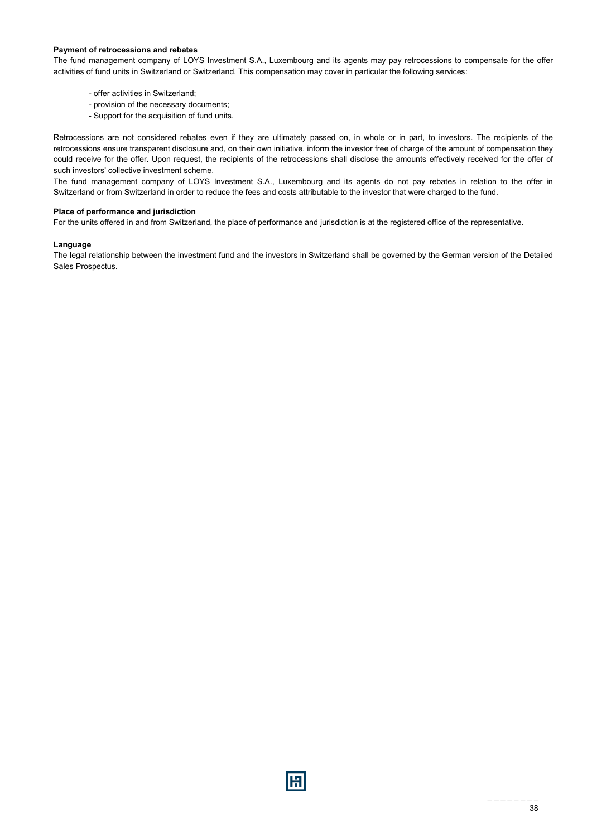#### **Payment of retrocessions and rebates**

The fund management company of LOYS Investment S.A., Luxembourg and its agents may pay retrocessions to compensate for the offer activities of fund units in Switzerland or Switzerland. This compensation may cover in particular the following services:

- offer activities in Switzerland;
- provision of the necessary documents;
- Support for the acquisition of fund units.

Retrocessions are not considered rebates even if they are ultimately passed on, in whole or in part, to investors. The recipients of the retrocessions ensure transparent disclosure and, on their own initiative, inform the investor free of charge of the amount of compensation they could receive for the offer. Upon request, the recipients of the retrocessions shall disclose the amounts effectively received for the offer of such investors' collective investment scheme.

The fund management company of LOYS Investment S.A., Luxembourg and its agents do not pay rebates in relation to the offer in Switzerland or from Switzerland in order to reduce the fees and costs attributable to the investor that were charged to the fund.

#### **Place of performance and jurisdiction**

For the units offered in and from Switzerland, the place of performance and jurisdiction is at the registered office of the representative.

#### **Language**

The legal relationship between the investment fund and the investors in Switzerland shall be governed by the German version of the Detailed Sales Prospectus.